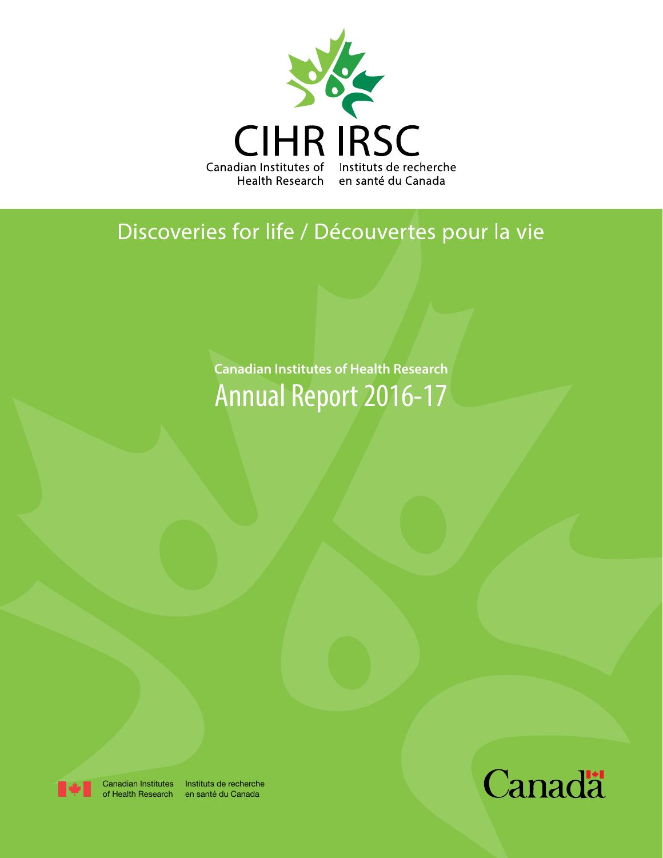

# Discoveries for life / Découvertes pour la vie

**Canadian Institutes of Health Research** Annual Report 2016-17



Canadian Institutes of Health Research

Instituts de recherche en santé du Canada

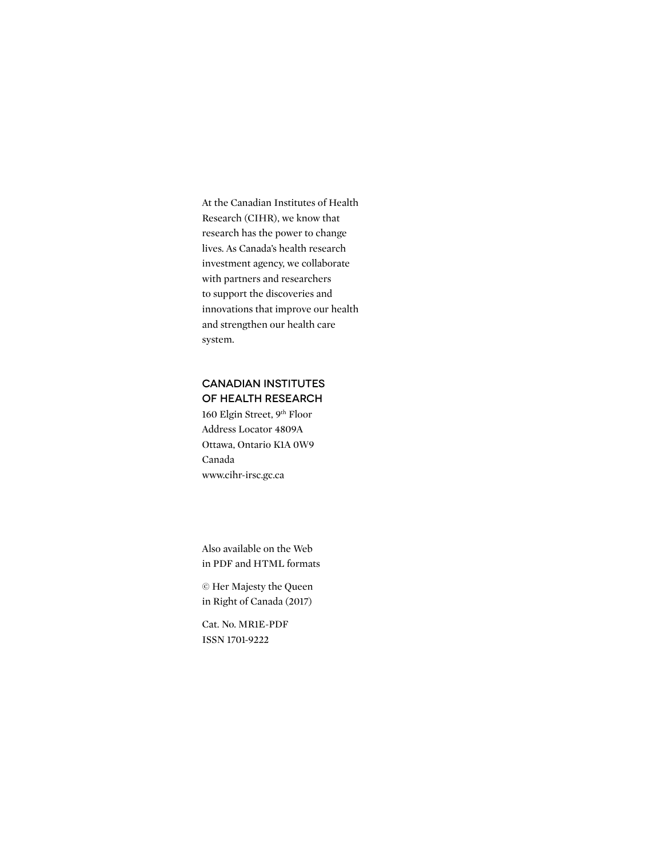At the Canadian Institutes of Health Research (CIHR), we know that research has the power to change lives. As Canada's health research investment agency, we collaborate with partners and researchers to support the discoveries and innovations that improve our health and strengthen our health care system.

# Canadian Institutes of Health Research

160 Elgin Street, 9<sup>th</sup> Floor Address Locator 4809A Ottawa, Ontario K1A 0W9 Canada www.cihr-irsc.gc.ca

Also available on the Web in PDF and HTML formats

© Her Majesty the Queen in Right of Canada (2017)

Cat. No. MR1E-PDF ISSN 1701-9222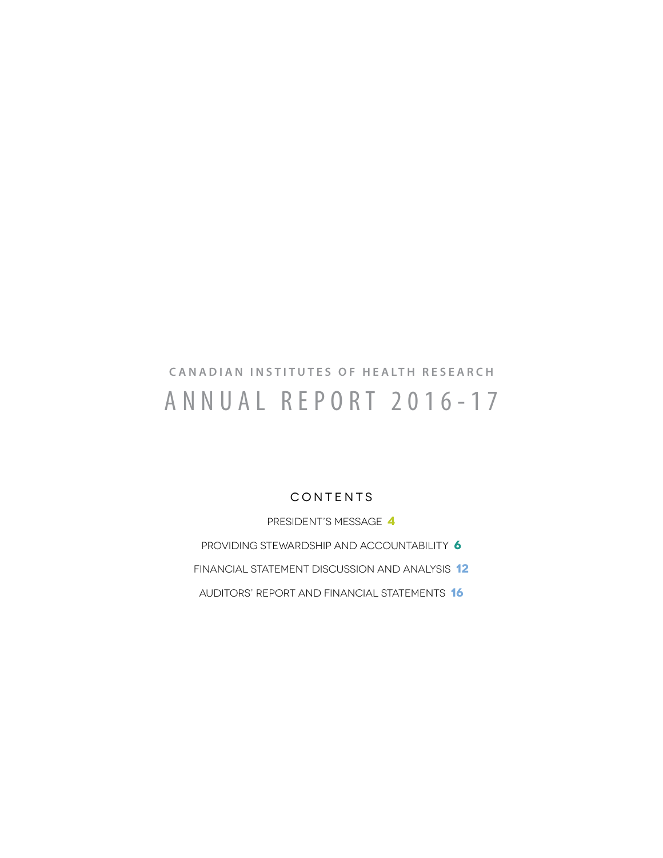# **C ANADIAN INSTITUTES OF HEALTH RESEARCH** ANNUAL REPORT 2016-17

# **CONTENTS**

President's Message **4** Providing Stewardship and Accountability **6** Financial Statement Discussion and Analysis **12** Auditors' Report and Financial Statements **16**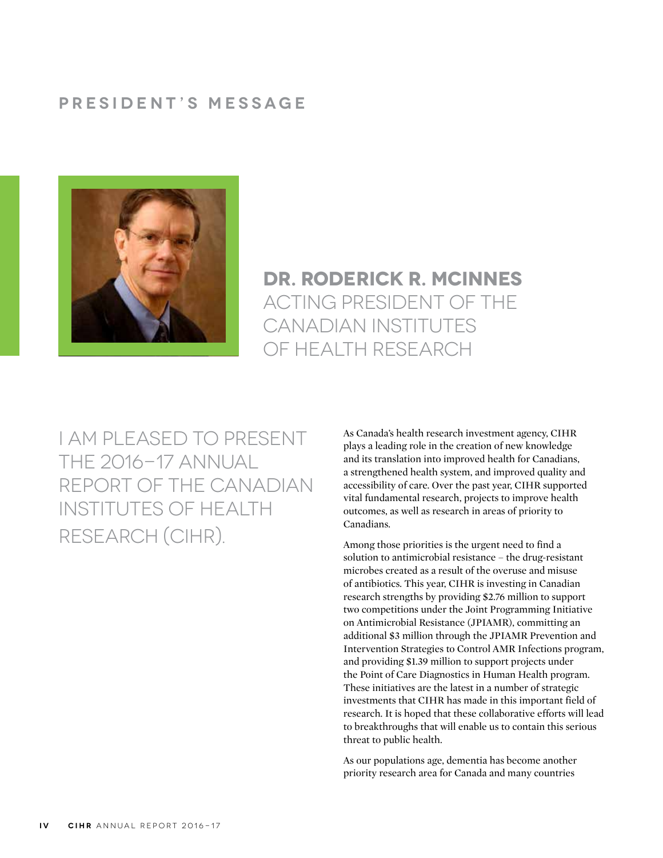# **President's Message**



# **Dr. Roderick R. Mcinnes** Acting President of the Canadian Institutes of Health Research

I am pleased to present the 2016-17 Annual Report of the Canadian Institutes of Health Research (CIHR).

As Canada's health research investment agency, CIHR plays a leading role in the creation of new knowledge and its translation into improved health for Canadians, a strengthened health system, and improved quality and accessibility of care. Over the past year, CIHR supported vital fundamental research, projects to improve health outcomes, as well as research in areas of priority to Canadians.

Among those priorities is the urgent need to find a solution to antimicrobial resistance – the drug-resistant microbes created as a result of the overuse and misuse of antibiotics. This year, CIHR is investing in Canadian research strengths by providing \$2.76 million to support two competitions under the Joint Programming Initiative on Antimicrobial Resistance (JPIAMR), committing an additional \$3 million through the JPIAMR Prevention and Intervention Strategies to Control AMR Infections program, and providing \$1.39 million to support projects under the Point of Care Diagnostics in Human Health program. These initiatives are the latest in a number of strategic investments that CIHR has made in this important field of research. It is hoped that these collaborative efforts will lead to breakthroughs that will enable us to contain this serious threat to public health.

As our populations age, dementia has become another priority research area for Canada and many countries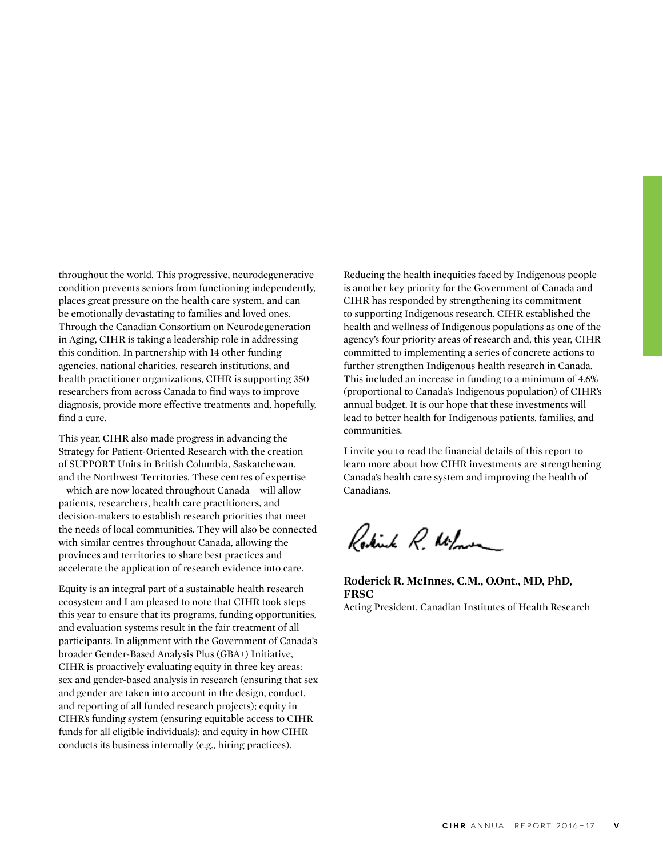throughout the world. This progressive, neurodegenerative condition prevents seniors from functioning independently, places great pressure on the health care system, and can be emotionally devastating to families and loved ones. Through the Canadian Consortium on Neurodegeneration in Aging, CIHR is taking a leadership role in addressing this condition. In partnership with 14 other funding agencies, national charities, research institutions, and health practitioner organizations, CIHR is supporting 350 researchers from across Canada to find ways to improve diagnosis, provide more effective treatments and, hopefully, find a cure.

This year, CIHR also made progress in advancing the Strategy for Patient-Oriented Research with the creation of SUPPORT Units in British Columbia, Saskatchewan, and the Northwest Territories. These centres of expertise – which are now located throughout Canada – will allow patients, researchers, health care practitioners, and decision-makers to establish research priorities that meet the needs of local communities. They will also be connected with similar centres throughout Canada, allowing the provinces and territories to share best practices and accelerate the application of research evidence into care.

Equity is an integral part of a sustainable health research ecosystem and I am pleased to note that CIHR took steps this year to ensure that its programs, funding opportunities, and evaluation systems result in the fair treatment of all participants. In alignment with the Government of Canada's broader Gender-Based Analysis Plus (GBA+) Initiative, CIHR is proactively evaluating equity in three key areas: sex and gender-based analysis in research (ensuring that sex and gender are taken into account in the design, conduct, and reporting of all funded research projects); equity in CIHR's funding system (ensuring equitable access to CIHR funds for all eligible individuals); and equity in how CIHR conducts its business internally (e.g., hiring practices).

Reducing the health inequities faced by Indigenous people is another key priority for the Government of Canada and CIHR has responded by strengthening its commitment to supporting Indigenous research. CIHR established the health and wellness of Indigenous populations as one of the agency's four priority areas of research and, this year, CIHR committed to implementing a series of concrete actions to further strengthen Indigenous health research in Canada. This included an increase in funding to a minimum of 4.6% (proportional to Canada's Indigenous population) of CIHR's annual budget. It is our hope that these investments will lead to better health for Indigenous patients, families, and communities.

I invite you to read the financial details of this report to learn more about how CIHR investments are strengthening Canada's health care system and improving the health of Canadians.

Rokink R. War

**Roderick R. McInnes, C.M., O.Ont., MD, PhD, FRSC**

Acting President, Canadian Institutes of Health Research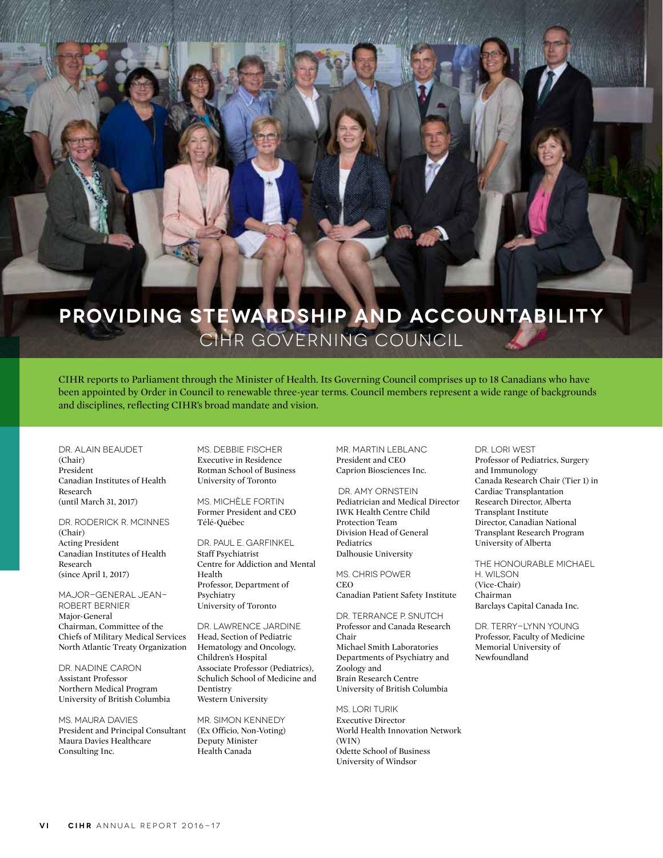# **Providing Stewardship and Accountability** CIHR Governing Council

CIHR reports to Parliament through the Minister of Health. Its Governing Council comprises up to 18 Canadians who have been appointed by Order in Council to renewable three-year terms. Council members represent a wide range of backgrounds and disciplines, reflecting CIHR's broad mandate and vision.

Dr. Alain Beaudet (Chair) President Canadian Institutes of Health Research (until March 31, 2017)

Dr. Roderick R. McInnes (Chair) Acting President Canadian Institutes of Health Research (since April 1, 2017)

Major-General Jean-Robert Bernier Major-General Chairman, Committee of the Chiefs of Military Medical Services North Atlantic Treaty Organization

Dr. Nadine Caron Assistant Professor Northern Medical Program University of British Columbia

Ms. Maura Davies President and Principal Consultant Maura Davies Healthcare Consulting Inc.

Ms. Debbie Fischer Executive in Residence Rotman School of Business University of Toronto

Ms. Michèle Fortin Former President and CEO Télé-Québec

Dr. Paul E. Garfinkel Staff Psychiatrist Centre for Addiction and Mental Health Professor, Department of Psychiatry University of Toronto

Dr. Lawrence Jardine Head, Section of Pediatric Hematology and Oncology, Children's Hospital Associate Professor (Pediatrics), Schulich School of Medicine and Dentistry Western University

Mr. Simon Kennedy (Ex Officio, Non-Voting) Deputy Minister Health Canada

Mr. Martin LeBlanc President and CEO Caprion Biosciences Inc.

Dr. Amy Ornstein Pediatrician and Medical Director IWK Health Centre Child Protection Team Division Head of General Pediatrics Dalhousie University

Ms. Chris Power **CEO** Canadian Patient Safety Institute

DR. TERRANCE P. SNUTCH Professor and Canada Research Chair Michael Smith Laboratories Departments of Psychiatry and Zoology and Brain Research Centre University of British Columbia

Ms. Lori Turik Executive Director World Health Innovation Network (WIN) Odette School of Business University of Windsor

Dr. Lori West Professor of Pediatrics, Surgery and Immunology Canada Research Chair (Tier 1) in Cardiac Transplantation Research Director, Alberta Transplant Institute Director, Canadian National Transplant Research Program University of Alberta

The Honourable Michael H. Wilson (Vice-Chair) Chairman Barclays Capital Canada Inc.

Dr. Terry-Lynn Young Professor, Faculty of Medicine Memorial University of Newfoundland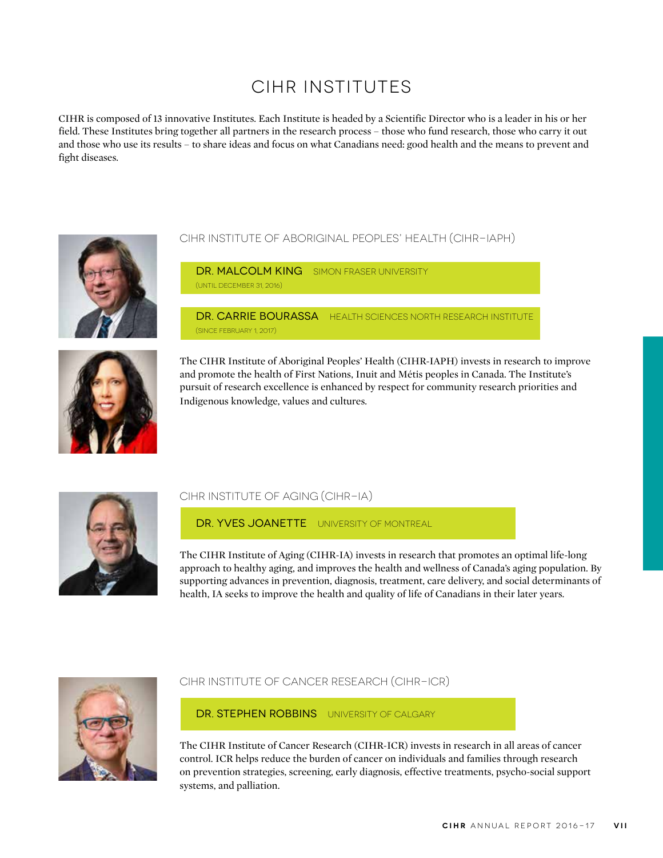# CIHR Institutes

CIHR is composed of 13 innovative Institutes. Each Institute is headed by a Scientific Director who is a leader in his or her field. These Institutes bring together all partners in the research process – those who fund research, those who carry it out and those who use its results – to share ideas and focus on what Canadians need: good health and the means to prevent and fight diseases.



## CIHR Institute of Aboriginal Peoples' Health (CIHR-IAPH)

DR. MALCOLM KING SIMON FRASER UNIVERSITY (until December 31, 2016)

DR. CARRIE BOURASSA HEALTH SCIENCES NORTH RESEARCH INSTITUTE (since February 1, 2017)



The CIHR Institute of Aboriginal Peoples' Health (CIHR-IAPH) invests in research to improve and promote the health of First Nations, Inuit and Métis peoples in Canada. The Institute's pursuit of research excellence is enhanced by respect for community research priorities and Indigenous knowledge, values and cultures.



CIHR Institute of Aging (CIHR-IA)

#### DR. YVES JOANETTE UNIVERSITY OF MONTREAL

The CIHR Institute of Aging (CIHR-IA) invests in research that promotes an optimal life-long approach to healthy aging, and improves the health and wellness of Canada's aging population. By supporting advances in prevention, diagnosis, treatment, care delivery, and social determinants of health, IA seeks to improve the health and quality of life of Canadians in their later years.



#### CIHR Institute of Cancer Research (CIHR-ICR)

## DR. STEPHEN ROBBINS UNIVERSITY OF CALGARY

The CIHR Institute of Cancer Research (CIHR-ICR) invests in research in all areas of cancer control. ICR helps reduce the burden of cancer on individuals and families through research on prevention strategies, screening, early diagnosis, effective treatments, psycho-social support systems, and palliation.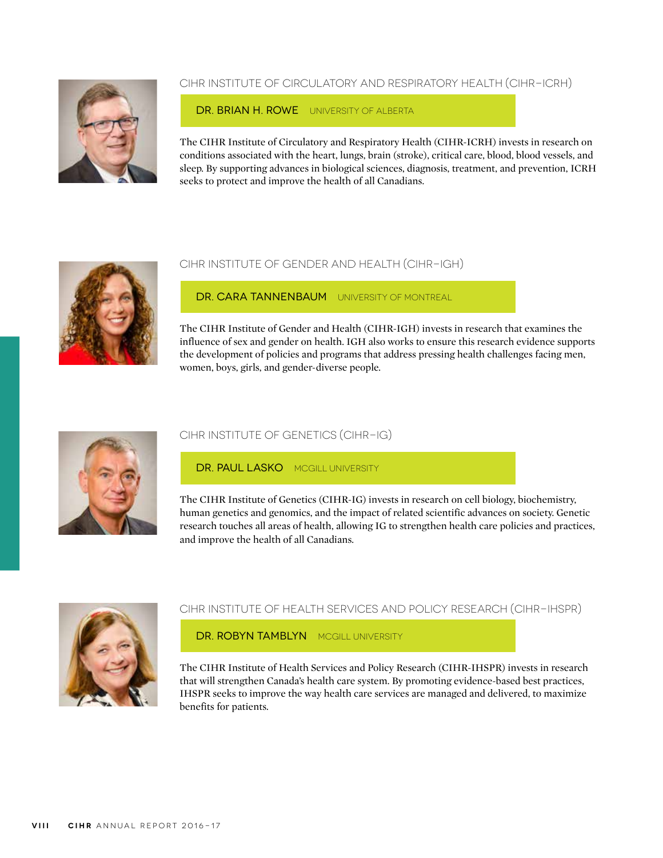

# CIHR Institute of Circulatory and Respiratory Health (CIHR-ICRH)

# DR. BRIAN H. ROWE UNIVERSITY OF ALBERTA

The CIHR Institute of Circulatory and Respiratory Health (CIHR-ICRH) invests in research on conditions associated with the heart, lungs, brain (stroke), critical care, blood, blood vessels, and sleep. By supporting advances in biological sciences, diagnosis, treatment, and prevention, ICRH seeks to protect and improve the health of all Canadians.



# CIHR Institute of Gender and Health (CIHR-IGH)

DR. CARA TANNENBAUM UNIVERSITY OF MONTREAL

The CIHR Institute of Gender and Health (CIHR-IGH) invests in research that examines the influence of sex and gender on health. IGH also works to ensure this research evidence supports the development of policies and programs that address pressing health challenges facing men, women, boys, girls, and gender-diverse people.



# CIHR Institute of Genetics (CIHR-IG)

DR. PAUL LASKO MCGILL UNIVERSITY

The CIHR Institute of Genetics (CIHR-IG) invests in research on cell biology, biochemistry, human genetics and genomics, and the impact of related scientific advances on society. Genetic research touches all areas of health, allowing IG to strengthen health care policies and practices, and improve the health of all Canadians.



## CIHR Institute of Health Services and Policy Research (CIHR-IHSPR)

# DR. ROBYN TAMBLYN MCGILL UNIVERSITY

The CIHR Institute of Health Services and Policy Research (CIHR-IHSPR) invests in research that will strengthen Canada's health care system. By promoting evidence-based best practices, IHSPR seeks to improve the way health care services are managed and delivered, to maximize benefits for patients.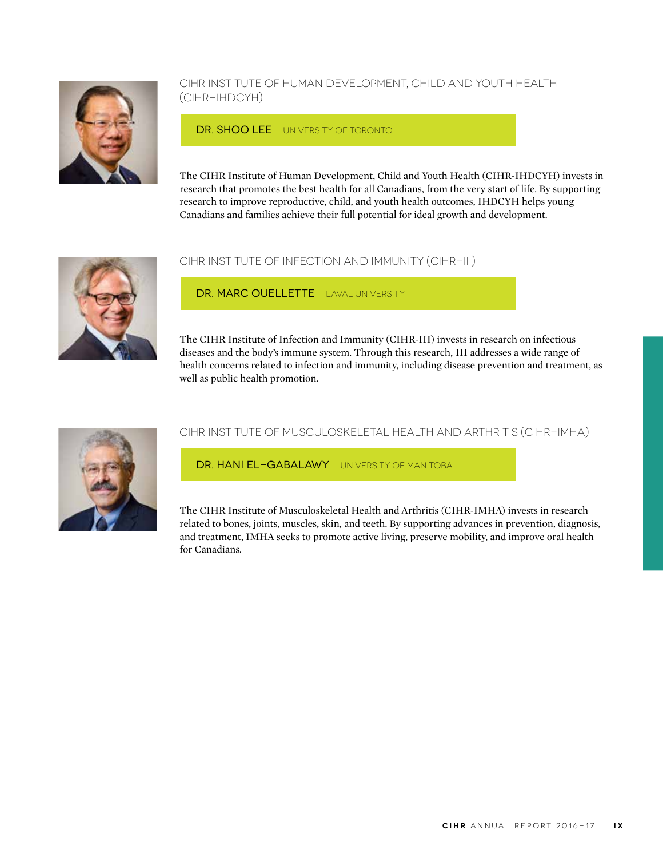

# CIHR Institute of Human Development, Child and Youth Health (CIHR-IHDCYH)

#### DR. SHOO LEE UNIVERSITY OF TORONTO

The CIHR Institute of Human Development, Child and Youth Health (CIHR-IHDCYH) invests in research that promotes the best health for all Canadians, from the very start of life. By supporting research to improve reproductive, child, and youth health outcomes, IHDCYH helps young Canadians and families achieve their full potential for ideal growth and development.



## CIHR Institute of Infection and Immunity (CIHR-III)

#### DR. MARC OUELLETTE LAVAL UNIVERSITY

The CIHR Institute of Infection and Immunity (CIHR-III) invests in research on infectious diseases and the body's immune system. Through this research, III addresses a wide range of health concerns related to infection and immunity, including disease prevention and treatment, as well as public health promotion.



# CIHR Institute of Musculoskeletal Health and Arthritis (CIHR-IMHA)

DR. HANI EL-GABALAWY UNIVERSITY OF MANITOBA

The CIHR Institute of Musculoskeletal Health and Arthritis (CIHR-IMHA) invests in research related to bones, joints, muscles, skin, and teeth. By supporting advances in prevention, diagnosis, and treatment, IMHA seeks to promote active living, preserve mobility, and improve oral health for Canadians.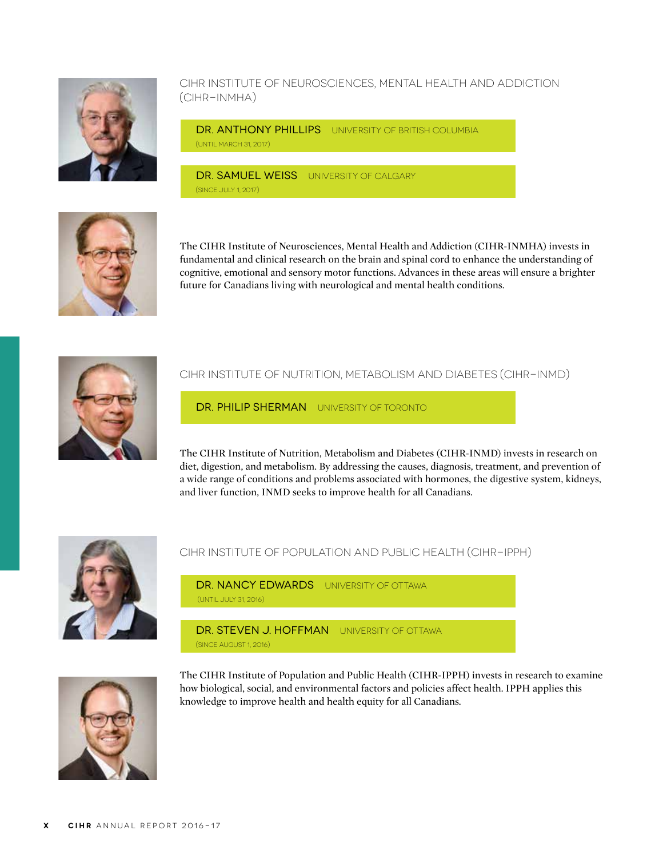

CIHR Institute of Neurosciences, Mental Health and Addiction (CIHR-INMHA)

DR. ANTHONY PHILLIPS UNIVERSITY OF BRITISH COLUMBIA (until March 31, 2017)

DR. SAMUEL WEISS UNIVERSITY OF CALGARY (since July 1, 2017)



The CIHR Institute of Neurosciences, Mental Health and Addiction (CIHR-INMHA) invests in fundamental and clinical research on the brain and spinal cord to enhance the understanding of cognitive, emotional and sensory motor functions. Advances in these areas will ensure a brighter future for Canadians living with neurological and mental health conditions.



CIHR Institute of Nutrition, Metabolism and Diabetes (CIHR-INMD)

DR. PHILIP SHERMAN UNIVERSITY OF TORONTO

The CIHR Institute of Nutrition, Metabolism and Diabetes (CIHR-INMD) invests in research on diet, digestion, and metabolism. By addressing the causes, diagnosis, treatment, and prevention of a wide range of conditions and problems associated with hormones, the digestive system, kidneys, and liver function, INMD seeks to improve health for all Canadians.



CIHR Institute of Population and Public Health (CIHR-IPPH)

DR. NANCY EDWARDS UNIVERSITY OF OTTAWA (until July 31, 2016)

#### DR. STEVEN J. HOFFMAN UNIVERSITY OF OTTAWA (since August 1, 2016)



The CIHR Institute of Population and Public Health (CIHR-IPPH) invests in research to examine how biological, social, and environmental factors and policies affect health. IPPH applies this knowledge to improve health and health equity for all Canadians.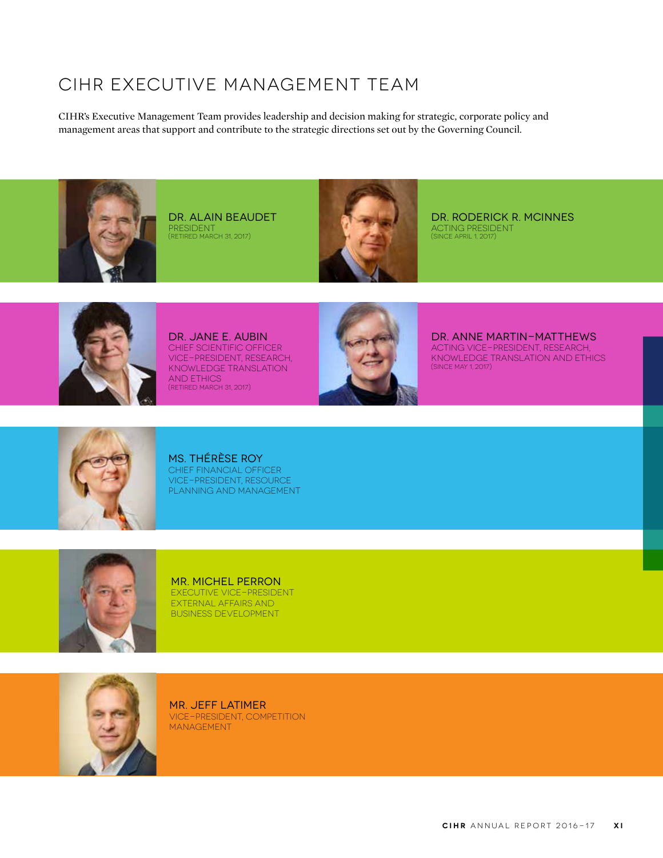# CIHR Executive Management Team

CIHR's Executive Management Team provides leadership and decision making for strategic, corporate policy and management areas that support and contribute to the strategic directions set out by the Governing Council.



DR. ALAIN BEAUDET President (RETIRED March 31, 2017)



Dr. Roderick R. McInnes Acting President (since April 1, 2017)



Dr. Jane E. Aubin Chief Scientific Officer Vice-President, Research, Knowledge Translation and Ethics (RETIRED March 31, 2017)



Dr. Anne Martin-Matthews ACTING VICE-PRESIDENT, RESEARCH Knowledge Translation and Ethics (since May 1, 2017)



Ms. Thérèse Roy Chief Financial Officer Vice-President, Resource Planning and Management



Mr. Michel Perron Executive Vice-President EXTERNAL AFFAIRS AND Business Development



MR. JEFF LATIMER Vice-President, Competition **MANAGEMENT**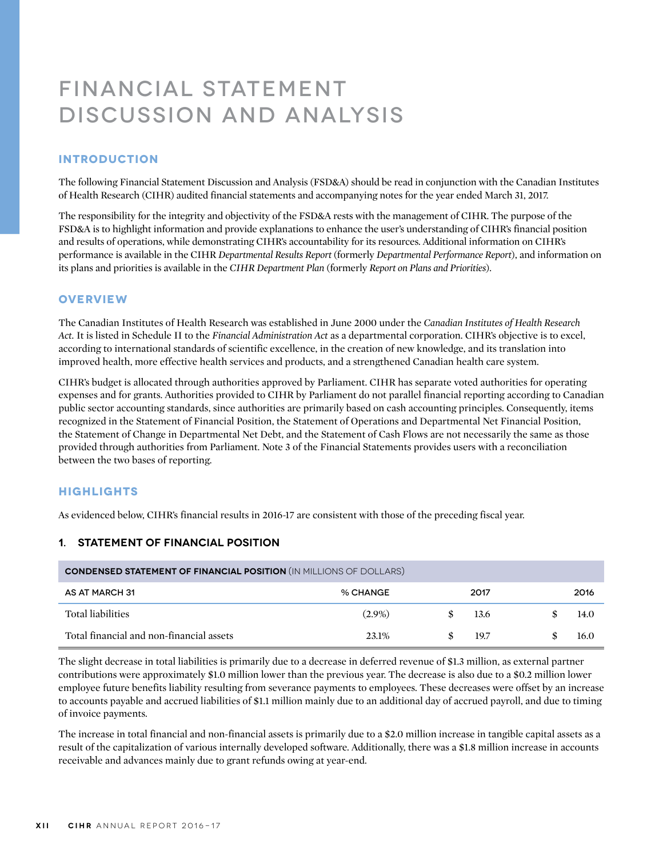# Financial Statement Discussion and Analysis

## **Introduction**

The following Financial Statement Discussion and Analysis (FSD&A) should be read in conjunction with the Canadian Institutes of Health Research (CIHR) audited financial statements and accompanying notes for the year ended March 31, 2017.

The responsibility for the integrity and objectivity of the FSD&A rests with the management of CIHR. The purpose of the FSD&A is to highlight information and provide explanations to enhance the user's understanding of CIHR's financial position and results of operations, while demonstrating CIHR's accountability for its resources. Additional information on CIHR's performance is available in the CIHR *Departmental Results Report* (formerly *Departmental Performance Report*), and information on its plans and priorities is available in the *CIHR Department Plan* (formerly *Report on Plans and Priorities*).

#### **Overview**

The Canadian Institutes of Health Research was established in June 2000 under the *Canadian Institutes of Health Research Act.* It is listed in Schedule II to the *Financial Administration Act* as a departmental corporation. CIHR's objective is to excel, according to international standards of scientific excellence, in the creation of new knowledge, and its translation into improved health, more effective health services and products, and a strengthened Canadian health care system.

CIHR's budget is allocated through authorities approved by Parliament. CIHR has separate voted authorities for operating expenses and for grants. Authorities provided to CIHR by Parliament do not parallel financial reporting according to Canadian public sector accounting standards, since authorities are primarily based on cash accounting principles. Consequently, items recognized in the Statement of Financial Position, the Statement of Operations and Departmental Net Financial Position, the Statement of Change in Departmental Net Debt, and the Statement of Cash Flows are not necessarily the same as those provided through authorities from Parliament. Note 3 of the Financial Statements provides users with a reconciliation between the two bases of reporting.

#### **Highlights**

As evidenced below, CIHR's financial results in 2016-17 are consistent with those of the preceding fiscal year.

## **1. Statement of Financial Position**

| <b>CONDENSED STATEMENT OF FINANCIAL POSITION (IN MILLIONS OF DOLLARS)</b> |                 |  |      |  |  |      |
|---------------------------------------------------------------------------|-----------------|--|------|--|--|------|
| <b>AS AT MARCH 31</b>                                                     | <b>% CHANGE</b> |  | 2017 |  |  | 2016 |
| <b>Total liabilities</b>                                                  | $(2.9\%)$       |  | 13.6 |  |  | 14.0 |
| Total financial and non-financial assets                                  | 23.1%           |  | 19.7 |  |  | 16.0 |

The slight decrease in total liabilities is primarily due to a decrease in deferred revenue of \$1.3 million, as external partner contributions were approximately \$1.0 million lower than the previous year. The decrease is also due to a \$0.2 million lower employee future benefits liability resulting from severance payments to employees. These decreases were offset by an increase to accounts payable and accrued liabilities of \$1.1 million mainly due to an additional day of accrued payroll, and due to timing of invoice payments.

The increase in total financial and non-financial assets is primarily due to a \$2.0 million increase in tangible capital assets as a result of the capitalization of various internally developed software. Additionally, there was a \$1.8 million increase in accounts receivable and advances mainly due to grant refunds owing at year-end.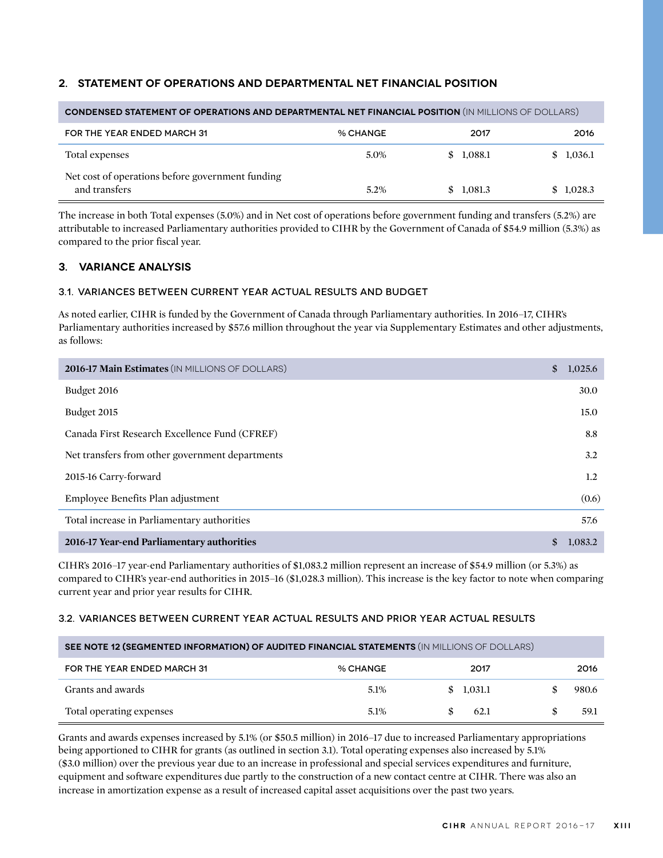## **2. Statement of Operations and Departmental Net Financial Position**

| <b>CONDENSED STATEMENT OF OPERATIONS AND DEPARTMENTAL NET FINANCIAL POSITION (IN MILLIONS OF DOLLARS)</b> |          |            |           |  |  |  |
|-----------------------------------------------------------------------------------------------------------|----------|------------|-----------|--|--|--|
| FOR THE YEAR ENDED MARCH 31                                                                               | % CHANGE | 2017       | 2016      |  |  |  |
| Total expenses                                                                                            | 5.0%     | \$1,088.1  | \$1,036.1 |  |  |  |
| Net cost of operations before government funding<br>and transfers                                         | $5.2\%$  | \$ 1,081.3 | \$1,028.3 |  |  |  |

The increase in both Total expenses (5.0%) and in Net cost of operations before government funding and transfers (5.2%) are attributable to increased Parliamentary authorities provided to CIHR by the Government of Canada of \$54.9 million (5.3%) as compared to the prior fiscal year.

#### **3. Variance Analysis**

#### 3.1. Variances between current year actual results and budget

As noted earlier, CIHR is funded by the Government of Canada through Parliamentary authorities. In 2016–17, CIHR's Parliamentary authorities increased by \$57.6 million throughout the year via Supplementary Estimates and other adjustments, as follows:

| 2016-17 Main Estimates (IN MILLIONS OF DOLLARS) | \$<br>1,025.6 |
|-------------------------------------------------|---------------|
| Budget 2016                                     | 30.0          |
| Budget 2015                                     | 15.0          |
| Canada First Research Excellence Fund (CFREF)   | 8.8           |
| Net transfers from other government departments | 3.2           |
| 2015-16 Carry-forward                           | $1.2\,$       |
| Employee Benefits Plan adjustment               | (0.6)         |
| Total increase in Parliamentary authorities     | 57.6          |
| 2016-17 Year-end Parliamentary authorities      | 1.083.2       |

CIHR's 2016–17 year-end Parliamentary authorities of \$1,083.2 million represent an increase of \$54.9 million (or 5.3%) as compared to CIHR's year-end authorities in 2015–16 (\$1,028.3 million). This increase is the key factor to note when comparing current year and prior year results for CIHR.

#### 3.2. Variances between current year actual results and prior year actual results

| <b>SEE NOTE 12 (SEGMENTED INFORMATION) OF AUDITED FINANCIAL STATEMENTS (IN MILLIONS OF DOLLARS)</b> |                 |           |  |       |
|-----------------------------------------------------------------------------------------------------|-----------------|-----------|--|-------|
| FOR THE YEAR ENDED MARCH 31                                                                         | <b>% CHANGE</b> | 2017      |  | 2016  |
| Grants and awards                                                                                   | 5.1%            | \$1.031.1 |  | 980.6 |
| Total operating expenses                                                                            | 5.1%            | 62.1      |  | 59.1  |

Grants and awards expenses increased by 5.1% (or \$50.5 million) in 2016–17 due to increased Parliamentary appropriations being apportioned to CIHR for grants (as outlined in section 3.1). Total operating expenses also increased by 5.1% (\$3.0 million) over the previous year due to an increase in professional and special services expenditures and furniture, equipment and software expenditures due partly to the construction of a new contact centre at CIHR. There was also an increase in amortization expense as a result of increased capital asset acquisitions over the past two years.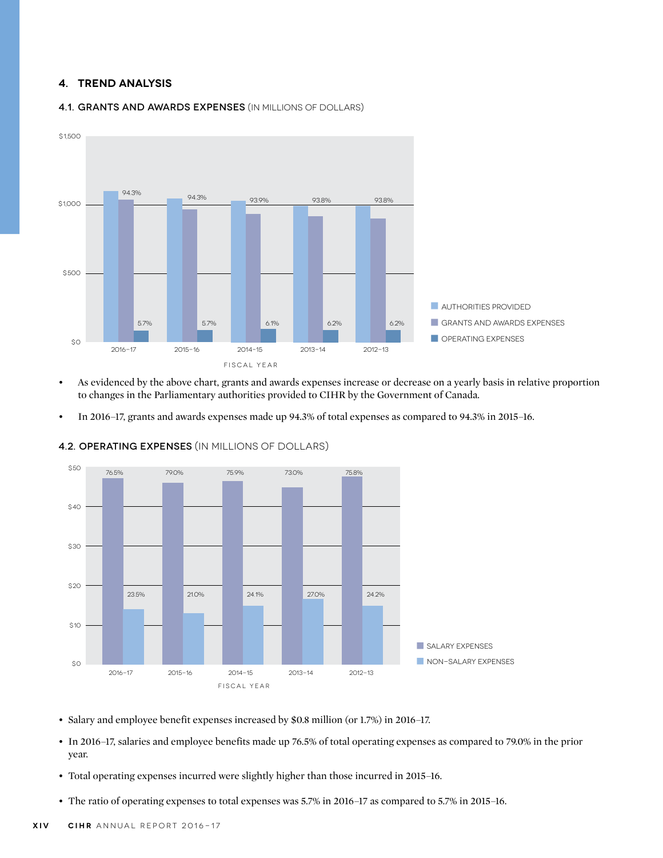#### **4. Trend Analysis**



#### 4.1. Grants and Awards expenses (in millions of dollars)

- As evidenced by the above chart, grants and awards expenses increase or decrease on a yearly basis in relative proportion to changes in the Parliamentary authorities provided to CIHR by the Government of Canada.
- In 2016–17, grants and awards expenses made up 94.3% of total expenses as compared to 94.3% in 2015–16.



#### 4.2. Operating Expenses (in millions of dollars)

- Salary and employee benefit expenses increased by \$0.8 million (or 1.7%) in 2016–17.
- In 2016–17, salaries and employee benefits made up 76.5% of total operating expenses as compared to 79.0% in the prior year.
- Total operating expenses incurred were slightly higher than those incurred in 2015–16.
- The ratio of operating expenses to total expenses was 5.7% in 2016–17 as compared to 5.7% in 2015–16.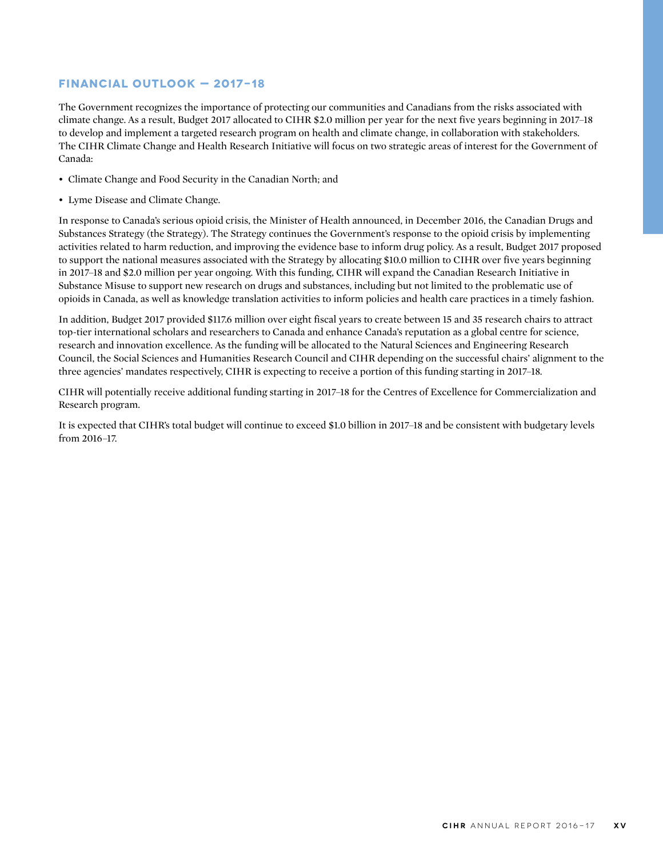## **Financial Outlook — 2017-18**

The Government recognizes the importance of protecting our communities and Canadians from the risks associated with climate change. As a result, Budget 2017 allocated to CIHR \$2.0 million per year for the next five years beginning in 2017–18 to develop and implement a targeted research program on health and climate change, in collaboration with stakeholders. The CIHR Climate Change and Health Research Initiative will focus on two strategic areas of interest for the Government of Canada:

- Climate Change and Food Security in the Canadian North; and
- Lyme Disease and Climate Change.

In response to Canada's serious opioid crisis, the Minister of Health announced, in December 2016, the Canadian Drugs and Substances Strategy (the Strategy). The Strategy continues the Government's response to the opioid crisis by implementing activities related to harm reduction, and improving the evidence base to inform drug policy. As a result, Budget 2017 proposed to support the national measures associated with the Strategy by allocating \$10.0 million to CIHR over five years beginning in 2017–18 and \$2.0 million per year ongoing. With this funding, CIHR will expand the Canadian Research Initiative in Substance Misuse to support new research on drugs and substances, including but not limited to the problematic use of opioids in Canada, as well as knowledge translation activities to inform policies and health care practices in a timely fashion.

In addition, Budget 2017 provided \$117.6 million over eight fiscal years to create between 15 and 35 research chairs to attract top-tier international scholars and researchers to Canada and enhance Canada's reputation as a global centre for science, research and innovation excellence. As the funding will be allocated to the Natural Sciences and Engineering Research Council, the Social Sciences and Humanities Research Council and CIHR depending on the successful chairs' alignment to the three agencies' mandates respectively, CIHR is expecting to receive a portion of this funding starting in 2017–18.

CIHR will potentially receive additional funding starting in 2017–18 for the Centres of Excellence for Commercialization and Research program.

It is expected that CIHR's total budget will continue to exceed \$1.0 billion in 2017–18 and be consistent with budgetary levels from 2016–17.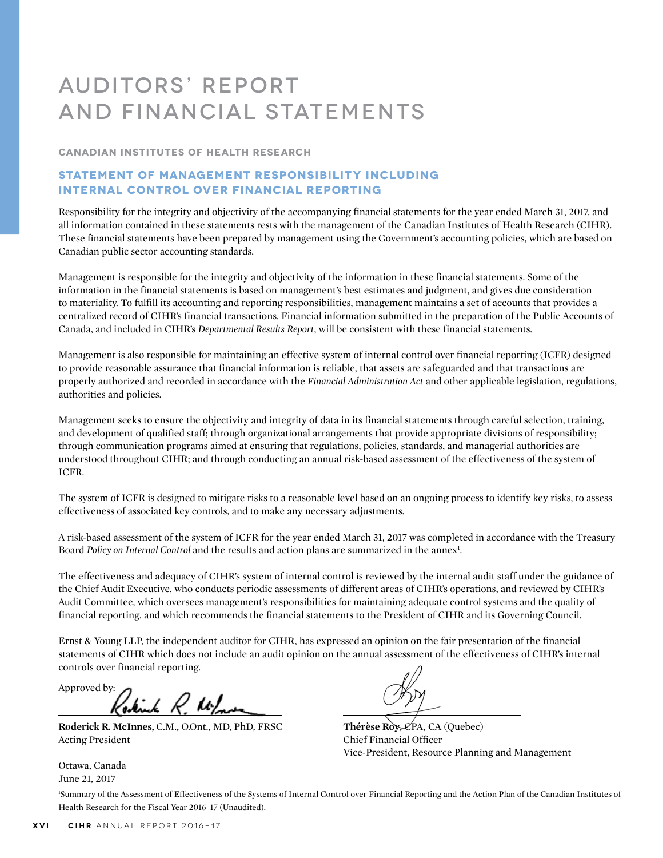# Auditors' Report and Financial Statements

#### **CANADIAN INSTITUTES OF HEALTH RESEARCH**

# **Statement of Management Responsibility Including Internal Control over Financial Reporting**

Responsibility for the integrity and objectivity of the accompanying financial statements for the year ended March 31, 2017, and all information contained in these statements rests with the management of the Canadian Institutes of Health Research (CIHR). These financial statements have been prepared by management using the Government's accounting policies, which are based on Canadian public sector accounting standards.

Management is responsible for the integrity and objectivity of the information in these financial statements. Some of the information in the financial statements is based on management's best estimates and judgment, and gives due consideration to materiality. To fulfill its accounting and reporting responsibilities, management maintains a set of accounts that provides a centralized record of CIHR's financial transactions. Financial information submitted in the preparation of the Public Accounts of Canada, and included in CIHR's *Departmental Results Report*, will be consistent with these financial statements.

Management is also responsible for maintaining an effective system of internal control over financial reporting (ICFR) designed to provide reasonable assurance that financial information is reliable, that assets are safeguarded and that transactions are properly authorized and recorded in accordance with the *Financial Administration Act* and other applicable legislation, regulations, authorities and policies.

Management seeks to ensure the objectivity and integrity of data in its financial statements through careful selection, training, and development of qualified staff; through organizational arrangements that provide appropriate divisions of responsibility; through communication programs aimed at ensuring that regulations, policies, standards, and managerial authorities are understood throughout CIHR; and through conducting an annual risk-based assessment of the effectiveness of the system of ICFR.

The system of ICFR is designed to mitigate risks to a reasonable level based on an ongoing process to identify key risks, to assess effectiveness of associated key controls, and to make any necessary adjustments.

A risk-based assessment of the system of ICFR for the year ended March 31, 2017 was completed in accordance with the Treasury Board Policy on Internal Control and the results and action plans are summarized in the annex<sup>1</sup>.

The effectiveness and adequacy of CIHR's system of internal control is reviewed by the internal audit staff under the guidance of the Chief Audit Executive, who conducts periodic assessments of different areas of CIHR's operations, and reviewed by CIHR's Audit Committee, which oversees management's responsibilities for maintaining adequate control systems and the quality of financial reporting, and which recommends the financial statements to the President of CIHR and its Governing Council.

Ernst & Young LLP, the independent auditor for CIHR, has expressed an opinion on the fair presentation of the financial statements of CIHR which does not include an audit opinion on the annual assessment of the effectiveness of CIHR's internal controls over financial reporting.

Approved by: hink R Whom

**Roderick R. McInnes,** C.M., O.Ont., MD, PhD, FRSC **Thérèse Roy**, CPA, CA (Quebec) Acting President Chief Financial Officer

Vice-President, Resource Planning and Management

Ottawa, Canada June 21, 2017

1 Summary of the Assessment of Effectiveness of the Systems of Internal Control over Financial Reporting and the Action Plan of the Canadian Institutes of Health Research for the Fiscal Year 2016–17 (Unaudited).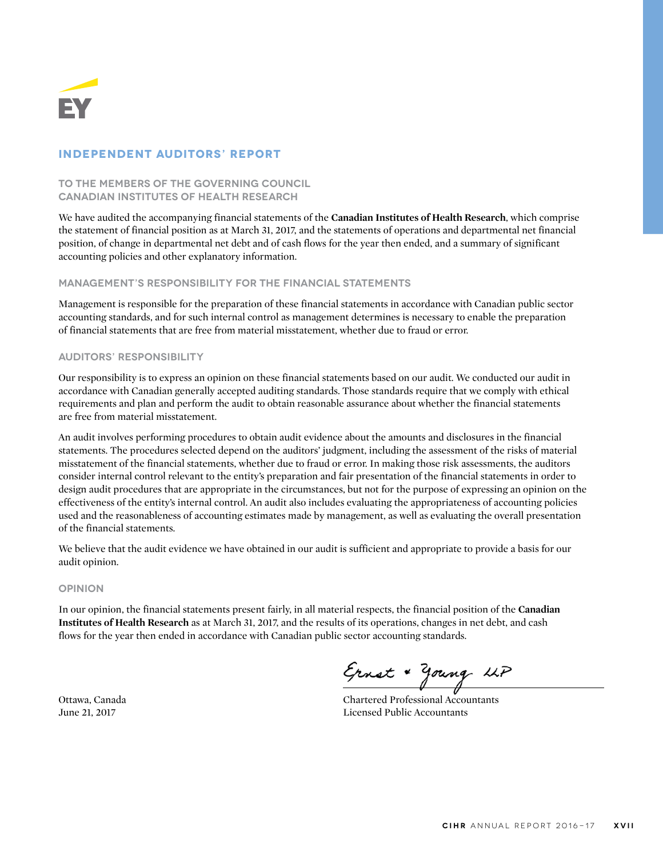

# **independent auditors' report**

#### **To the MEMBERS of the Governing Council Canadian Institutes of Health Research**

We have audited the accompanying financial statements of the **Canadian Institutes of Health Research**, which comprise the statement of financial position as at March 31, 2017, and the statements of operations and departmental net financial position, of change in departmental net debt and of cash flows for the year then ended, and a summary of significant accounting policies and other explanatory information.

#### **Management's responsibility for the financial statements**

Management is responsible for the preparation of these financial statements in accordance with Canadian public sector accounting standards, and for such internal control as management determines is necessary to enable the preparation of financial statements that are free from material misstatement, whether due to fraud or error.

#### **Auditors' responsibility**

Our responsibility is to express an opinion on these financial statements based on our audit. We conducted our audit in accordance with Canadian generally accepted auditing standards. Those standards require that we comply with ethical requirements and plan and perform the audit to obtain reasonable assurance about whether the financial statements are free from material misstatement.

An audit involves performing procedures to obtain audit evidence about the amounts and disclosures in the financial statements. The procedures selected depend on the auditors' judgment, including the assessment of the risks of material misstatement of the financial statements, whether due to fraud or error. In making those risk assessments, the auditors consider internal control relevant to the entity's preparation and fair presentation of the financial statements in order to design audit procedures that are appropriate in the circumstances, but not for the purpose of expressing an opinion on the effectiveness of the entity's internal control. An audit also includes evaluating the appropriateness of accounting policies used and the reasonableness of accounting estimates made by management, as well as evaluating the overall presentation of the financial statements.

We believe that the audit evidence we have obtained in our audit is sufficient and appropriate to provide a basis for our audit opinion.

#### **Opinion**

In our opinion, the financial statements present fairly, in all material respects, the financial position of the **Canadian Institutes of Health Research** as at March 31, 2017, and the results of its operations, changes in net debt, and cash flows for the year then ended in accordance with Canadian public sector accounting standards.

Ernst + Young LLP

Ottawa, Canada Chartered Professional Accountants June 21, 2017 Licensed Public Accountants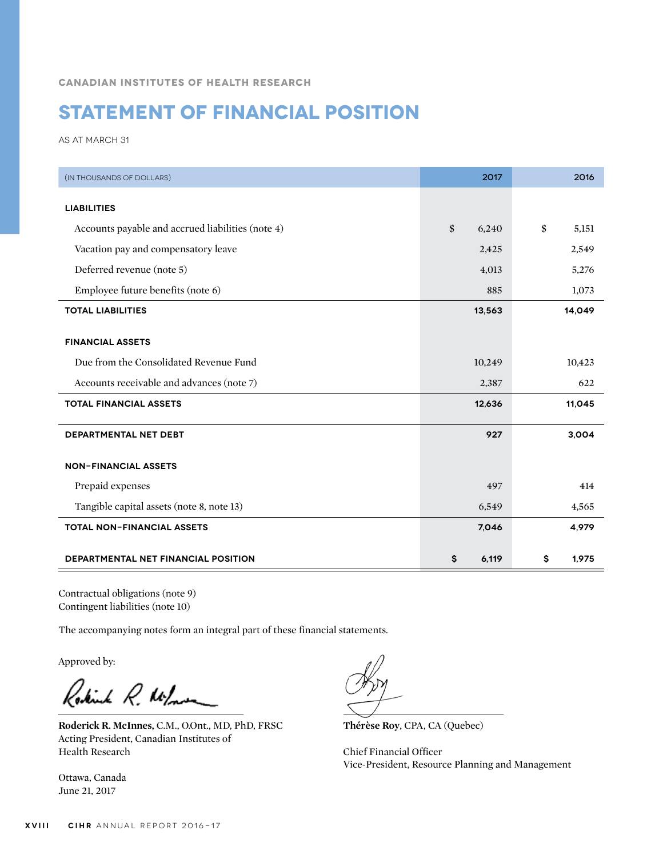# **STATEMENT OF FINANCIAL POSITION**

AS AT MARCH 31

| (IN THOUSANDS OF DOLLARS)                         | 2017        | 2016        |
|---------------------------------------------------|-------------|-------------|
| <b>LIABILITIES</b>                                |             |             |
| Accounts payable and accrued liabilities (note 4) | \$<br>6,240 | \$<br>5,151 |
| Vacation pay and compensatory leave               | 2,425       | 2,549       |
| Deferred revenue (note 5)                         | 4,013       | 5,276       |
| Employee future benefits (note 6)                 | 885         | 1,073       |
| <b>TOTAL LIABILITIES</b>                          | 13,563      | 14,049      |
|                                                   |             |             |
| <b>FINANCIAL ASSETS</b>                           |             |             |
| Due from the Consolidated Revenue Fund            | 10,249      | 10,423      |
| Accounts receivable and advances (note 7)         | 2,387       | 622         |
| <b>TOTAL FINANCIAL ASSETS</b>                     | 12,636      | 11,045      |
| <b>DEPARTMENTAL NET DEBT</b>                      | 927         | 3,004       |
| <b>NON-FINANCIAL ASSETS</b>                       |             |             |
| Prepaid expenses                                  | 497         | 414         |
| Tangible capital assets (note 8, note 13)         | 6,549       | 4,565       |
| <b>TOTAL NON-FINANCIAL ASSETS</b>                 | 7,046       | 4,979       |
| <b>DEPARTMENTAL NET FINANCIAL POSITION</b>        | \$<br>6,119 | \$<br>1,975 |

Contractual obligations (note 9) Contingent liabilities (note 10)

The accompanying notes form an integral part of these financial statements.

Approved by:

Rodink R. Wohn

**Roderick R. McInnes,** C.M., O.Ont., MD, PhD, FRSC **Thérèse Roy**, CPA, CA (Quebec) Acting President, Canadian Institutes of

Ottawa, Canada June 21, 2017

Chief Financial Officer Vice-President, Resource Planning and Management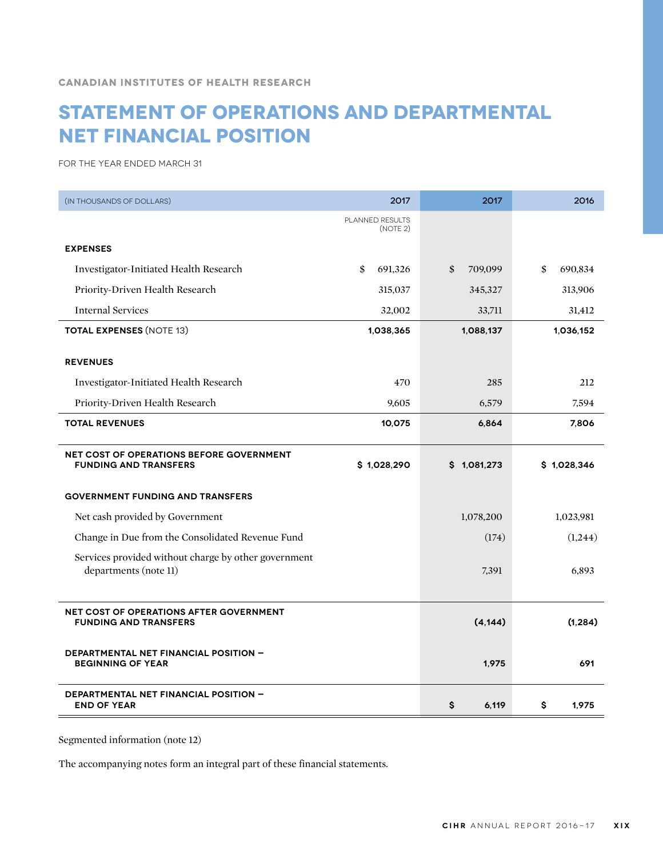# **STATEMENT OF OPERATIONS AND DEPARTMENTAL NET FINANCIAL POSITION**

FOR THE YEAR ENDED MARCH 31

| (IN THOUSANDS OF DOLLARS)                                                       | 2017                        | 2017          | 2016          |
|---------------------------------------------------------------------------------|-----------------------------|---------------|---------------|
|                                                                                 | PLANNED RESULTS<br>(NOTE 2) |               |               |
| <b>EXPENSES</b>                                                                 |                             |               |               |
| Investigator-Initiated Health Research                                          | \$<br>691,326               | 709,099<br>\$ | \$<br>690,834 |
| Priority-Driven Health Research                                                 | 315,037                     | 345,327       | 313,906       |
| <b>Internal Services</b>                                                        | 32,002                      | 33,711        | 31,412        |
| <b>TOTAL EXPENSES (NOTE 13)</b>                                                 | 1,038,365                   | 1,088,137     | 1,036,152     |
| <b>REVENUES</b>                                                                 |                             |               |               |
| Investigator-Initiated Health Research                                          | 470                         | 285           | 212           |
| Priority-Driven Health Research                                                 | 9.605                       | 6,579         | 7.594         |
| <b>TOTAL REVENUES</b>                                                           | 10,075                      | 6,864         | 7,806         |
| <b>NET COST OF OPERATIONS BEFORE GOVERNMENT</b><br><b>FUNDING AND TRANSFERS</b> | \$1,028,290                 | \$1,081,273   | \$1,028,346   |
| <b>GOVERNMENT FUNDING AND TRANSFERS</b>                                         |                             |               |               |
| Net cash provided by Government                                                 |                             | 1,078,200     | 1,023,981     |
| Change in Due from the Consolidated Revenue Fund                                |                             | (174)         | (1,244)       |
| Services provided without charge by other government<br>departments (note 11)   |                             | 7,391         | 6,893         |
| <b>NET COST OF OPERATIONS AFTER GOVERNMENT</b><br><b>FUNDING AND TRANSFERS</b>  |                             | (4, 144)      | (1, 284)      |
| <b>DEPARTMENTAL NET FINANCIAL POSITION -</b><br><b>BEGINNING OF YEAR</b>        |                             | 1,975         | 691           |
| <b>DEPARTMENTAL NET FINANCIAL POSITION -</b><br><b>END OF YEAR</b>              |                             | \$<br>6,119   | \$<br>1.975   |

Segmented information (note 12)

The accompanying notes form an integral part of these financial statements.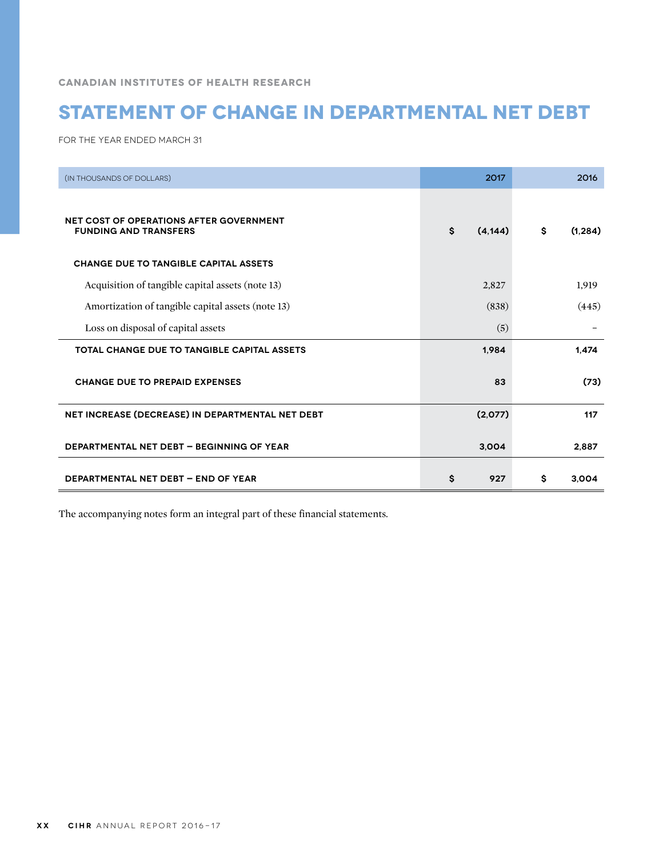# **STATEMENT OF CHANGE IN DEPARTMENTAL NET DEBT**

FOR THE YEAR ENDED MARCH 31

| (IN THOUSANDS OF DOLLARS)                                               | 2017           |     | 2016     |
|-------------------------------------------------------------------------|----------------|-----|----------|
| NET COST OF OPERATIONS AFTER GOVERNMENT<br><b>FUNDING AND TRANSFERS</b> | Ŝ.<br>(4, 144) | \$. | (1, 284) |
| <b>CHANGE DUE TO TANGIBLE CAPITAL ASSETS</b>                            |                |     |          |
| Acquisition of tangible capital assets (note 13)                        | 2,827          |     | 1,919    |
| Amortization of tangible capital assets (note 13)                       | (838)          |     | (445)    |
| Loss on disposal of capital assets                                      | (5)            |     |          |
| <b>TOTAL CHANGE DUE TO TANGIBLE CAPITAL ASSETS</b>                      | 1,984          |     | 1,474    |
| <b>CHANGE DUE TO PREPAID EXPENSES</b>                                   | 83             |     | (73)     |
| NET INCREASE (DECREASE) IN DEPARTMENTAL NET DEBT                        | (2,077)        |     | 117      |
| DEPARTMENTAL NET DEBT - BEGINNING OF YEAR                               | 3,004          |     | 2,887    |
| DEPARTMENTAL NET DEBT - END OF YEAR                                     | \$.<br>927     | \$. | 3,004    |

The accompanying notes form an integral part of these financial statements.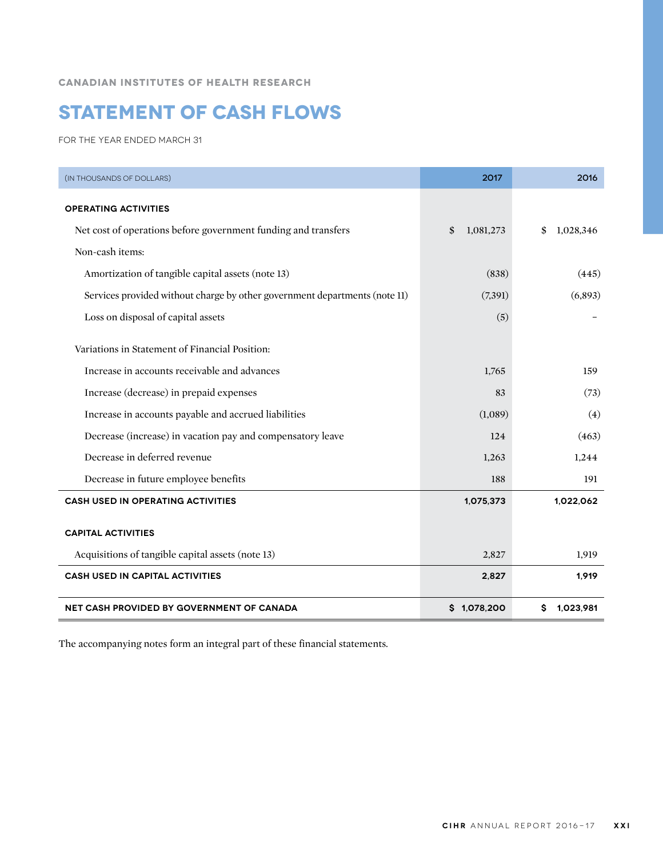#### **CANADIAN INSTITUTES OF HEALTH RESEARCH**

# **STATEMENT OF CASH FLOWS**

FOR THE YEAR ENDED MARCH 31

| (IN THOUSANDS OF DOLLARS)                                                  | 2017            | 2016            |
|----------------------------------------------------------------------------|-----------------|-----------------|
| <b>OPERATING ACTIVITIES</b>                                                |                 |                 |
| Net cost of operations before government funding and transfers             | \$<br>1,081,273 | \$<br>1,028,346 |
| Non-cash items:                                                            |                 |                 |
| Amortization of tangible capital assets (note 13)                          | (838)           | (445)           |
| Services provided without charge by other government departments (note 11) | (7,391)         | (6, 893)        |
| Loss on disposal of capital assets                                         | (5)             |                 |
| Variations in Statement of Financial Position:                             |                 |                 |
| Increase in accounts receivable and advances                               | 1,765           | 159             |
| Increase (decrease) in prepaid expenses                                    | 83              | (73)            |
| Increase in accounts payable and accrued liabilities                       | (1,089)         | (4)             |
| Decrease (increase) in vacation pay and compensatory leave                 | 124             | (463)           |
| Decrease in deferred revenue                                               | 1,263           | 1,244           |
| Decrease in future employee benefits                                       | 188             | 191             |
| <b>CASH USED IN OPERATING ACTIVITIES</b>                                   | 1,075,373       | 1,022,062       |
| <b>CAPITAL ACTIVITIES</b>                                                  |                 |                 |
| Acquisitions of tangible capital assets (note 13)                          | 2,827           | 1,919           |
| <b>CASH USED IN CAPITAL ACTIVITIES</b>                                     | 2,827           | 1,919           |
| NET CASH PROVIDED BY GOVERNMENT OF CANADA                                  | \$1,078,200     | 1,023,981<br>\$ |

The accompanying notes form an integral part of these financial statements.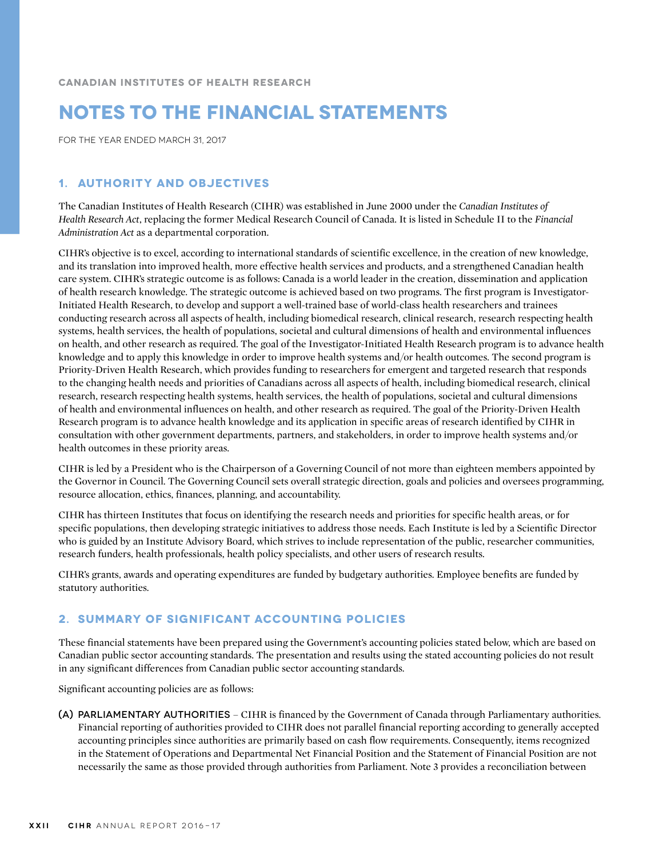# **NOTES TO THE FINANCIAL STATEMENTS**

FOR THE YEAR ENDED MARCH 31, 2017

#### **1. Authority and Objectives**

The Canadian Institutes of Health Research (CIHR) was established in June 2000 under the *Canadian Institutes of Health Research Act*, replacing the former Medical Research Council of Canada. It is listed in Schedule II to the *Financial Administration Act* as a departmental corporation.

CIHR's objective is to excel, according to international standards of scientific excellence, in the creation of new knowledge, and its translation into improved health, more effective health services and products, and a strengthened Canadian health care system. CIHR's strategic outcome is as follows: Canada is a world leader in the creation, dissemination and application of health research knowledge. The strategic outcome is achieved based on two programs. The first program is Investigator-Initiated Health Research, to develop and support a well-trained base of world-class health researchers and trainees conducting research across all aspects of health, including biomedical research, clinical research, research respecting health systems, health services, the health of populations, societal and cultural dimensions of health and environmental influences on health, and other research as required. The goal of the Investigator-Initiated Health Research program is to advance health knowledge and to apply this knowledge in order to improve health systems and/or health outcomes. The second program is Priority-Driven Health Research, which provides funding to researchers for emergent and targeted research that responds to the changing health needs and priorities of Canadians across all aspects of health, including biomedical research, clinical research, research respecting health systems, health services, the health of populations, societal and cultural dimensions of health and environmental influences on health, and other research as required. The goal of the Priority-Driven Health Research program is to advance health knowledge and its application in specific areas of research identified by CIHR in consultation with other government departments, partners, and stakeholders, in order to improve health systems and/or health outcomes in these priority areas.

CIHR is led by a President who is the Chairperson of a Governing Council of not more than eighteen members appointed by the Governor in Council. The Governing Council sets overall strategic direction, goals and policies and oversees programming, resource allocation, ethics, finances, planning, and accountability.

CIHR has thirteen Institutes that focus on identifying the research needs and priorities for specific health areas, or for specific populations, then developing strategic initiatives to address those needs. Each Institute is led by a Scientific Director who is guided by an Institute Advisory Board, which strives to include representation of the public, researcher communities, research funders, health professionals, health policy specialists, and other users of research results.

CIHR's grants, awards and operating expenditures are funded by budgetary authorities. Employee benefits are funded by statutory authorities.

## **2. Summary of significant accounting policies**

These financial statements have been prepared using the Government's accounting policies stated below, which are based on Canadian public sector accounting standards. The presentation and results using the stated accounting policies do not result in any significant differences from Canadian public sector accounting standards.

Significant accounting policies are as follows:

(a) Parliamentary authorities – CIHR is financed by the Government of Canada through Parliamentary authorities. Financial reporting of authorities provided to CIHR does not parallel financial reporting according to generally accepted accounting principles since authorities are primarily based on cash flow requirements. Consequently, items recognized in the Statement of Operations and Departmental Net Financial Position and the Statement of Financial Position are not necessarily the same as those provided through authorities from Parliament. Note 3 provides a reconciliation between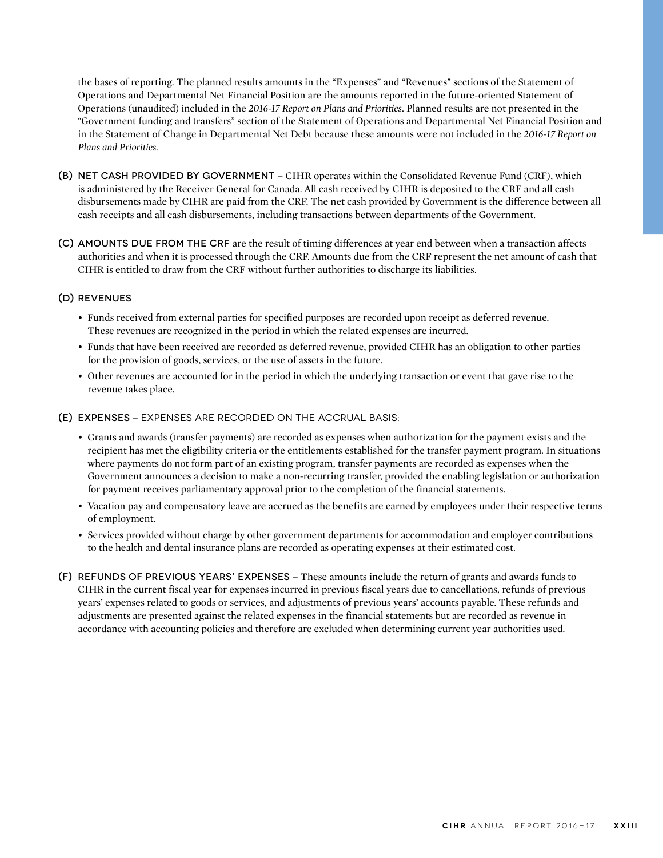the bases of reporting. The planned results amounts in the "Expenses" and "Revenues" sections of the Statement of Operations and Departmental Net Financial Position are the amounts reported in the future-oriented Statement of Operations (unaudited) included in the *2016-17 Report on Plans and Priorities*. Planned results are not presented in the "Government funding and transfers" section of the Statement of Operations and Departmental Net Financial Position and in the Statement of Change in Departmental Net Debt because these amounts were not included in the *2016-17 Report on Plans and Priorities.*

- (B) NET CASH PROVIDED BY GOVERNMENT CIHR operates within the Consolidated Revenue Fund (CRF), which is administered by the Receiver General for Canada. All cash received by CIHR is deposited to the CRF and all cash disbursements made by CIHR are paid from the CRF. The net cash provided by Government is the difference between all cash receipts and all cash disbursements, including transactions between departments of the Government.
- (C) AMOUNTS DUE FROM THE CRF are the result of timing differences at year end between when a transaction affects authorities and when it is processed through the CRF. Amounts due from the CRF represent the net amount of cash that CIHR is entitled to draw from the CRF without further authorities to discharge its liabilities.

#### (d) Revenues

- Funds received from external parties for specified purposes are recorded upon receipt as deferred revenue. These revenues are recognized in the period in which the related expenses are incurred.
- Funds that have been received are recorded as deferred revenue, provided CIHR has an obligation to other parties for the provision of goods, services, or the use of assets in the future.
- Other revenues are accounted for in the period in which the underlying transaction or event that gave rise to the revenue takes place.

(e) Expenses – Expenses are recorded on the accrual basis:

- Grants and awards (transfer payments) are recorded as expenses when authorization for the payment exists and the recipient has met the eligibility criteria or the entitlements established for the transfer payment program. In situations where payments do not form part of an existing program, transfer payments are recorded as expenses when the Government announces a decision to make a non-recurring transfer, provided the enabling legislation or authorization for payment receives parliamentary approval prior to the completion of the financial statements.
- Vacation pay and compensatory leave are accrued as the benefits are earned by employees under their respective terms of employment.
- Services provided without charge by other government departments for accommodation and employer contributions to the health and dental insurance plans are recorded as operating expenses at their estimated cost.
- (f) Refunds of previous years' expenses These amounts include the return of grants and awards funds to CIHR in the current fiscal year for expenses incurred in previous fiscal years due to cancellations, refunds of previous years' expenses related to goods or services, and adjustments of previous years' accounts payable. These refunds and adjustments are presented against the related expenses in the financial statements but are recorded as revenue in accordance with accounting policies and therefore are excluded when determining current year authorities used.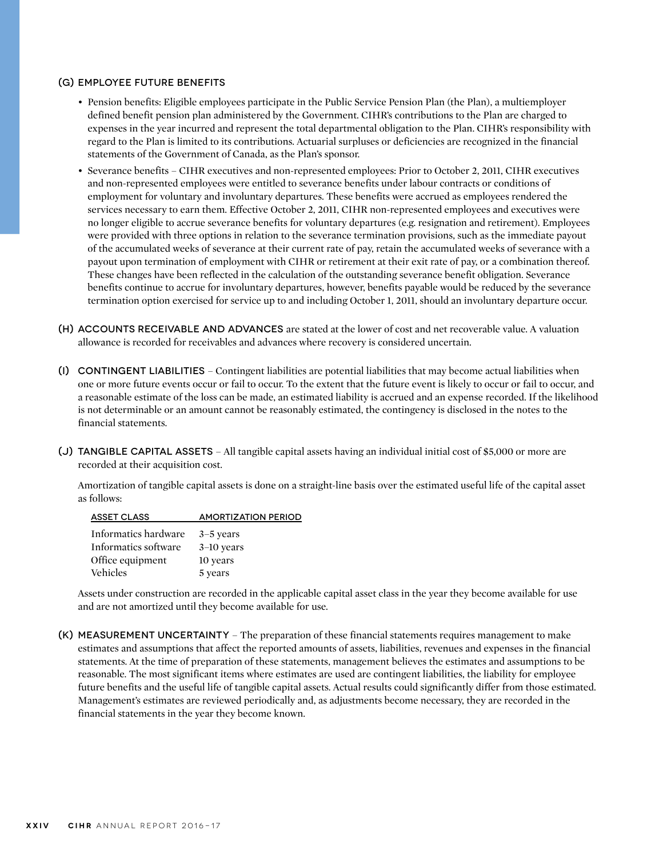#### (g) Employee future benefits

- Pension benefits: Eligible employees participate in the Public Service Pension Plan (the Plan), a multiemployer defined benefit pension plan administered by the Government. CIHR's contributions to the Plan are charged to expenses in the year incurred and represent the total departmental obligation to the Plan. CIHR's responsibility with regard to the Plan is limited to its contributions. Actuarial surpluses or deficiencies are recognized in the financial statements of the Government of Canada, as the Plan's sponsor.
- Severance benefits CIHR executives and non-represented employees: Prior to October 2, 2011, CIHR executives and non-represented employees were entitled to severance benefits under labour contracts or conditions of employment for voluntary and involuntary departures. These benefits were accrued as employees rendered the services necessary to earn them. Effective October 2, 2011, CIHR non-represented employees and executives were no longer eligible to accrue severance benefits for voluntary departures (e.g. resignation and retirement). Employees were provided with three options in relation to the severance termination provisions, such as the immediate payout of the accumulated weeks of severance at their current rate of pay, retain the accumulated weeks of severance with a payout upon termination of employment with CIHR or retirement at their exit rate of pay, or a combination thereof. These changes have been reflected in the calculation of the outstanding severance benefit obligation. Severance benefits continue to accrue for involuntary departures, however, benefits payable would be reduced by the severance termination option exercised for service up to and including October 1, 2011, should an involuntary departure occur.
- (h) Accounts receivable and advances are stated at the lower of cost and net recoverable value. A valuation allowance is recorded for receivables and advances where recovery is considered uncertain.
- (i) Contingent liabilities Contingent liabilities are potential liabilities that may become actual liabilities when one or more future events occur or fail to occur. To the extent that the future event is likely to occur or fail to occur, and a reasonable estimate of the loss can be made, an estimated liability is accrued and an expense recorded. If the likelihood is not determinable or an amount cannot be reasonably estimated, the contingency is disclosed in the notes to the financial statements.
- (j) Tangible capital assets All tangible capital assets having an individual initial cost of \$5,000 or more are recorded at their acquisition cost.

 Amortization of tangible capital assets is done on a straight-line basis over the estimated useful life of the capital asset as follows:

|          | <b>ASSET CLASS</b>   | <b>AMORTIZATION PERIOD</b> |  |
|----------|----------------------|----------------------------|--|
|          | Informatics hardware | $3-5$ years                |  |
|          | Informatics software | $3-10$ years               |  |
|          | Office equipment     | 10 years                   |  |
| Vehicles |                      | 5 years                    |  |

 Assets under construction are recorded in the applicable capital asset class in the year they become available for use and are not amortized until they become available for use.

(K) MEASUREMENT UNCERTAINTY – The preparation of these financial statements requires management to make estimates and assumptions that affect the reported amounts of assets, liabilities, revenues and expenses in the financial statements. At the time of preparation of these statements, management believes the estimates and assumptions to be reasonable. The most significant items where estimates are used are contingent liabilities, the liability for employee future benefits and the useful life of tangible capital assets. Actual results could significantly differ from those estimated. Management's estimates are reviewed periodically and, as adjustments become necessary, they are recorded in the financial statements in the year they become known.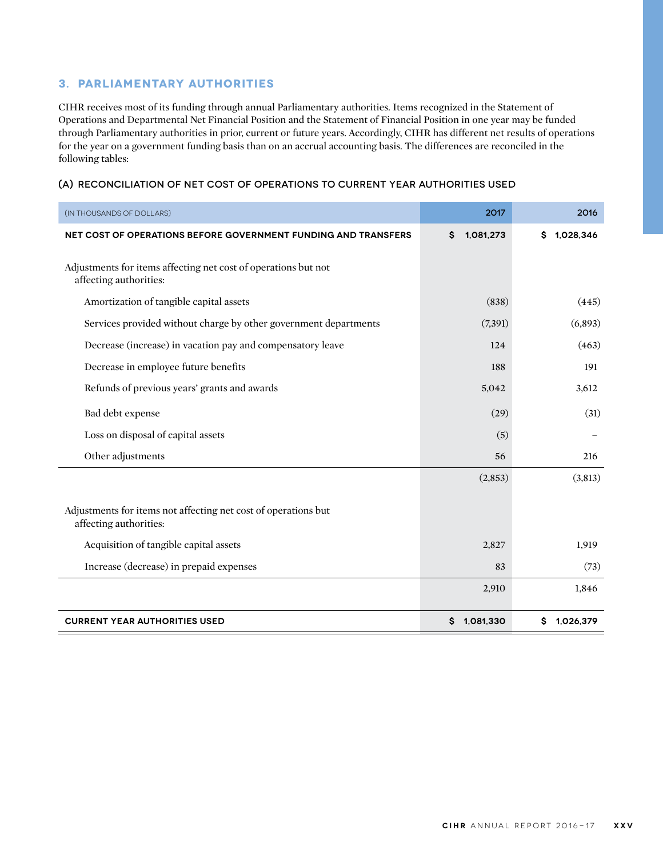## **3. Parliamentary Authorities**

CIHR receives most of its funding through annual Parliamentary authorities. Items recognized in the Statement of Operations and Departmental Net Financial Position and the Statement of Financial Position in one year may be funded through Parliamentary authorities in prior, current or future years. Accordingly, CIHR has different net results of operations for the year on a government funding basis than on an accrual accounting basis. The differences are reconciled in the following tables:

#### (a) Reconciliation of net cost of operations to current year authorities used

| (IN THOUSANDS OF DOLLARS)                                                                | 2017            | 2016            |
|------------------------------------------------------------------------------------------|-----------------|-----------------|
| NET COST OF OPERATIONS BEFORE GOVERNMENT FUNDING AND TRANSFERS                           | 1,081,273<br>s  | 1,028,346<br>\$ |
| Adjustments for items affecting net cost of operations but not<br>affecting authorities: |                 |                 |
| Amortization of tangible capital assets                                                  | (838)           | (445)           |
| Services provided without charge by other government departments                         | (7,391)         | (6, 893)        |
| Decrease (increase) in vacation pay and compensatory leave                               | 124             | (463)           |
| Decrease in employee future benefits                                                     | 188             | 191             |
| Refunds of previous years' grants and awards                                             | 5,042           | 3,612           |
| Bad debt expense                                                                         | (29)            | (31)            |
| Loss on disposal of capital assets                                                       | (5)             |                 |
| Other adjustments                                                                        | 56              | 216             |
|                                                                                          | (2, 853)        | (3, 813)        |
| Adjustments for items not affecting net cost of operations but<br>affecting authorities: |                 |                 |
| Acquisition of tangible capital assets                                                   | 2,827           | 1,919           |
| Increase (decrease) in prepaid expenses                                                  | 83              | (73)            |
|                                                                                          | 2,910           | 1,846           |
| <b>CURRENT YEAR AUTHORITIES USED</b>                                                     | 1,081,330<br>\$ | \$<br>1,026,379 |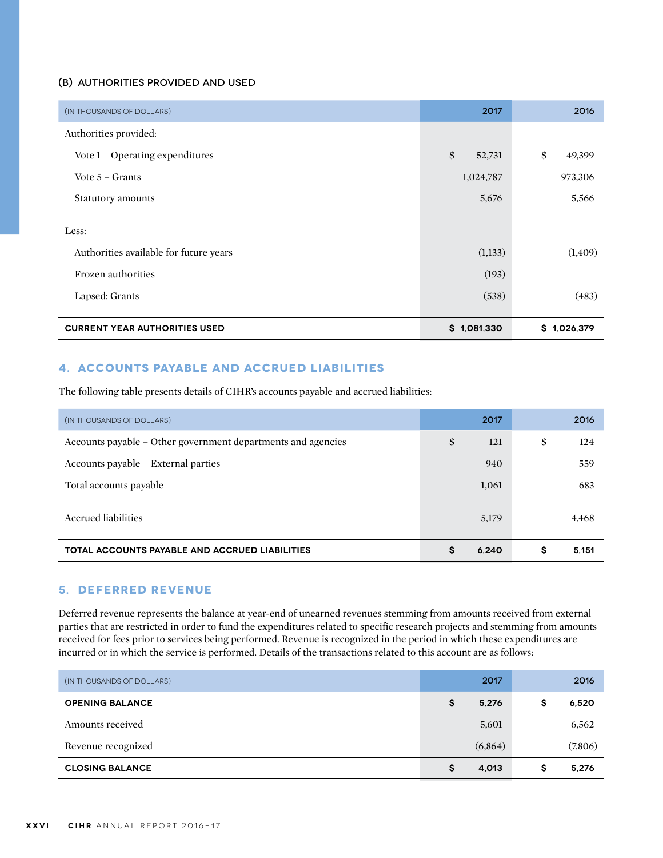#### (b) Authorities provided and used

| (IN THOUSANDS OF DOLLARS)              | 2017         | 2016         |
|----------------------------------------|--------------|--------------|
| Authorities provided:                  |              |              |
| Vote $1 -$ Operating expenditures      | \$<br>52,731 | \$<br>49,399 |
| Vote $5 -$ Grants                      | 1,024,787    | 973,306      |
| Statutory amounts                      | 5,676        | 5,566        |
| Less:                                  |              |              |
| Authorities available for future years | (1,133)      | (1,409)      |
| Frozen authorities                     | (193)        |              |
| Lapsed: Grants                         | (538)        | (483)        |
| <b>CURRENT YEAR AUTHORITIES USED</b>   | \$1,081,330  | \$1,026,379  |

#### **4. Accounts Payable and Accrued Liabilities**

The following table presents details of CIHR's accounts payable and accrued liabilities:

| (IN THOUSANDS OF DOLLARS)                                    |    | 2017  |    | 2016  |
|--------------------------------------------------------------|----|-------|----|-------|
| Accounts payable - Other government departments and agencies | \$ | 121   | \$ | 124   |
| Accounts payable – External parties                          |    | 940   |    | 559   |
| Total accounts payable                                       |    | 1,061 |    | 683   |
| Accrued liabilities                                          |    | 5,179 |    | 4,468 |
| <b>TOTAL ACCOUNTS PAYABLE AND ACCRUED LIABILITIES</b>        | s  | 6,240 | s  | 5,151 |

#### **5. Deferred Revenue**

Deferred revenue represents the balance at year-end of unearned revenues stemming from amounts received from external parties that are restricted in order to fund the expenditures related to specific research projects and stemming from amounts received for fees prior to services being performed. Revenue is recognized in the period in which these expenditures are incurred or in which the service is performed. Details of the transactions related to this account are as follows:

| (IN THOUSANDS OF DOLLARS) |   | 2017     |   | 2016    |
|---------------------------|---|----------|---|---------|
| <b>OPENING BALANCE</b>    | s | 5,276    | S | 6,520   |
| Amounts received          |   | 5,601    |   | 6,562   |
| Revenue recognized        |   | (6, 864) |   | (7,806) |
| <b>CLOSING BALANCE</b>    | s | 4,013    | S | 5,276   |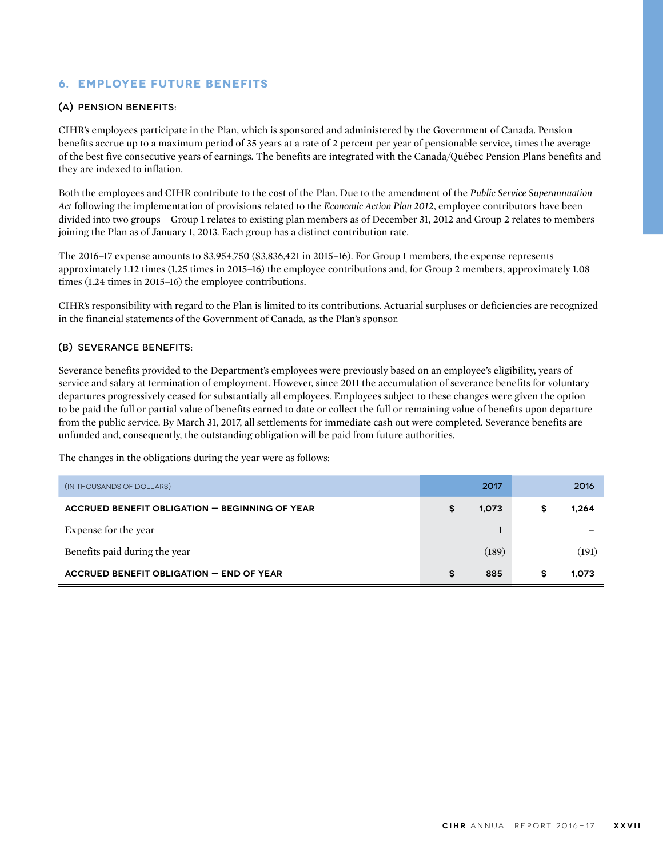# **6. Employee Future Benefits**

#### (a) Pension benefits:

CIHR's employees participate in the Plan, which is sponsored and administered by the Government of Canada. Pension benefits accrue up to a maximum period of 35 years at a rate of 2 percent per year of pensionable service, times the average of the best five consecutive years of earnings. The benefits are integrated with the Canada/Québec Pension Plans benefits and they are indexed to inflation.

Both the employees and CIHR contribute to the cost of the Plan. Due to the amendment of the *Public Service Superannuation Act* following the implementation of provisions related to the *Economic Action Plan 2012*, employee contributors have been divided into two groups – Group 1 relates to existing plan members as of December 31, 2012 and Group 2 relates to members joining the Plan as of January 1, 2013. Each group has a distinct contribution rate.

The 2016–17 expense amounts to \$3,954,750 (\$3,836,421 in 2015–16). For Group 1 members, the expense represents approximately 1.12 times (1.25 times in 2015–16) the employee contributions and, for Group 2 members, approximately 1.08 times (1.24 times in 2015–16) the employee contributions.

CIHR's responsibility with regard to the Plan is limited to its contributions. Actuarial surpluses or deficiencies are recognized in the financial statements of the Government of Canada, as the Plan's sponsor.

#### (b) Severance benefits:

Severance benefits provided to the Department's employees were previously based on an employee's eligibility, years of service and salary at termination of employment. However, since 2011 the accumulation of severance benefits for voluntary departures progressively ceased for substantially all employees. Employees subject to these changes were given the option to be paid the full or partial value of benefits earned to date or collect the full or remaining value of benefits upon departure from the public service. By March 31, 2017, all settlements for immediate cash out were completed. Severance benefits are unfunded and, consequently, the outstanding obligation will be paid from future authorities.

The changes in the obligations during the year were as follows:

| (IN THOUSANDS OF DOLLARS)                             |   | 2017  | 2016  |
|-------------------------------------------------------|---|-------|-------|
| <b>ACCRUED BENEFIT OBLIGATION - BEGINNING OF YEAR</b> | s | 1,073 | 1,264 |
| Expense for the year                                  |   |       |       |
| Benefits paid during the year                         |   | (189) | (191) |
| <b>ACCRUED BENEFIT OBLIGATION - END OF YEAR</b>       | s | 885   | 1,073 |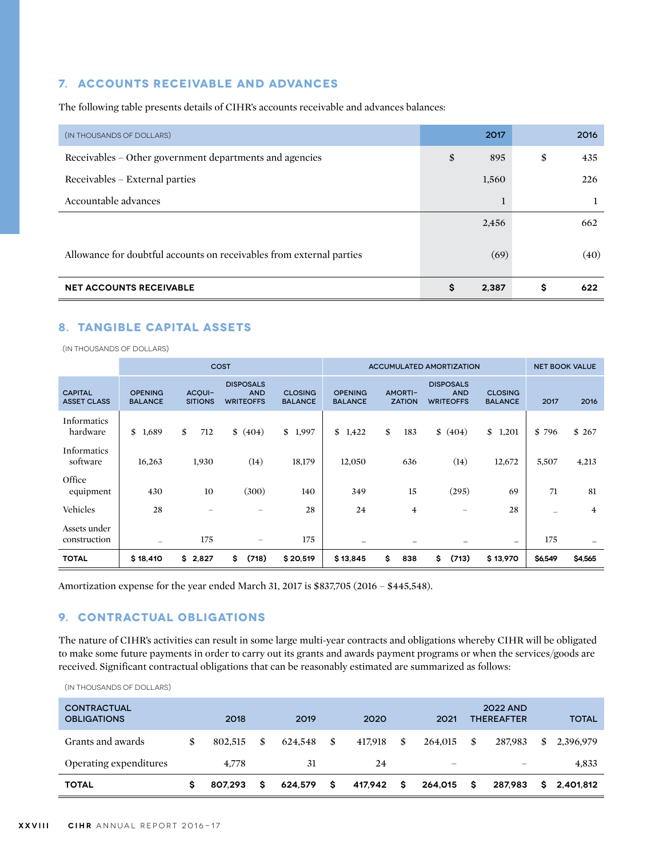## **7. Accounts Receivable and Advances**

The following table presents details of CIHR's accounts receivable and advances balances:

| (IN THOUSANDS OF DOLLARS)                                            | 2017        |    | 2016 |
|----------------------------------------------------------------------|-------------|----|------|
| Receivables - Other government departments and agencies              | \$<br>895   | \$ | 435  |
| Receivables - External parties                                       | 1,560       |    | 226  |
|                                                                      |             |    |      |
| Accountable advances                                                 |             |    |      |
|                                                                      | 2,456       |    | 662  |
| Allowance for doubtful accounts on receivables from external parties | (69)        |    | (40) |
| <b>NET ACCOUNTS RECEIVABLE</b>                                       | \$<br>2,387 | S  | 622  |

## **8. Tangible Capital Assets**

(in thousands of dollars)

|                                      |                                  |                          | COST                                               |                                  | <b>ACCUMULATED AMORTIZATION</b>  | <b>NET BOOK VALUE</b>           |                                                    |                                  |         |         |
|--------------------------------------|----------------------------------|--------------------------|----------------------------------------------------|----------------------------------|----------------------------------|---------------------------------|----------------------------------------------------|----------------------------------|---------|---------|
| <b>CAPITAL</b><br><b>ASSET CLASS</b> | <b>OPENING</b><br><b>BALANCE</b> | ACOUI-<br><b>SITIONS</b> | <b>DISPOSALS</b><br><b>AND</b><br><b>WRITEOFFS</b> | <b>CLOSING</b><br><b>BALANCE</b> | <b>OPENING</b><br><b>BALANCE</b> | <b>AMORTI-</b><br><b>ZATION</b> | <b>DISPOSALS</b><br><b>AND</b><br><b>WRITEOFFS</b> | <b>CLOSING</b><br><b>BALANCE</b> | 2017    | 2016    |
| Informatics<br>hardware              | 1,689<br>\$                      | 712<br>\$                | \$ (404)                                           | \$1,997                          | \$<br>1,422                      | \$<br>183                       | \$ (404)                                           | \$<br>1,201                      | \$796   | \$267   |
| <b>Informatics</b><br>software       | 16,263                           | 1,930                    | (14)                                               | 18,179                           | 12,050                           | 636                             | (14)                                               | 12,672                           | 5,507   | 4,213   |
| Office<br>equipment                  | 430                              | 10                       | (300)                                              | 140                              | 349                              | 15                              | (295)                                              | 69                               | 71      | 81      |
| Vehicles                             | 28                               |                          |                                                    | 28                               | 24                               | $\overline{4}$                  |                                                    | 28                               |         | 4       |
| Assets under<br>construction         |                                  | 175                      | $\overline{\phantom{0}}$                           | 175                              |                                  |                                 |                                                    | $\overline{\phantom{0}}$         | 175     |         |
| <b>TOTAL</b>                         | \$18,410                         | \$2,827                  | \$<br>(718)                                        | \$20,519                         | \$13,845                         | \$<br>838                       | \$.<br>(713)                                       | \$13,970                         | \$6,549 | \$4,565 |

Amortization expense for the year ended March 31, 2017 is \$837,705 (2016 – \$445,548).

## **9. Contractual Obligations**

The nature of CIHR's activities can result in some large multi-year contracts and obligations whereby CIHR will be obligated to make some future payments in order to carry out its grants and awards payment programs or when the services/goods are received. Significant contractual obligations that can be reasonably estimated are summarized as follows:

(in thousands of dollars)

| <b>CONTRACTUAL</b><br><b>OBLIGATIONS</b> |    | 2018    |    | 2019    |    | 2020    |    | 2021    |    | <b>2022 AND</b><br><b>THEREAFTER</b> |    | <b>TOTAL</b>           |
|------------------------------------------|----|---------|----|---------|----|---------|----|---------|----|--------------------------------------|----|------------------------|
| Grants and awards                        | \$ | 802.515 | S. | 624.548 | S. | 417.918 | S. | 264.015 | \$ | 287.983                              |    | $\frac{\$}{2.396.979}$ |
| Operating expenditures                   |    | 4.778   |    | 31      |    | 24      |    | —       |    |                                      |    | 4,833                  |
| <b>TOTAL</b>                             | s  | 807.293 | s  | 624.579 | Ŝ. | 417.942 | S. | 264.015 | s  | 287.983                              | S. | 2.401.812              |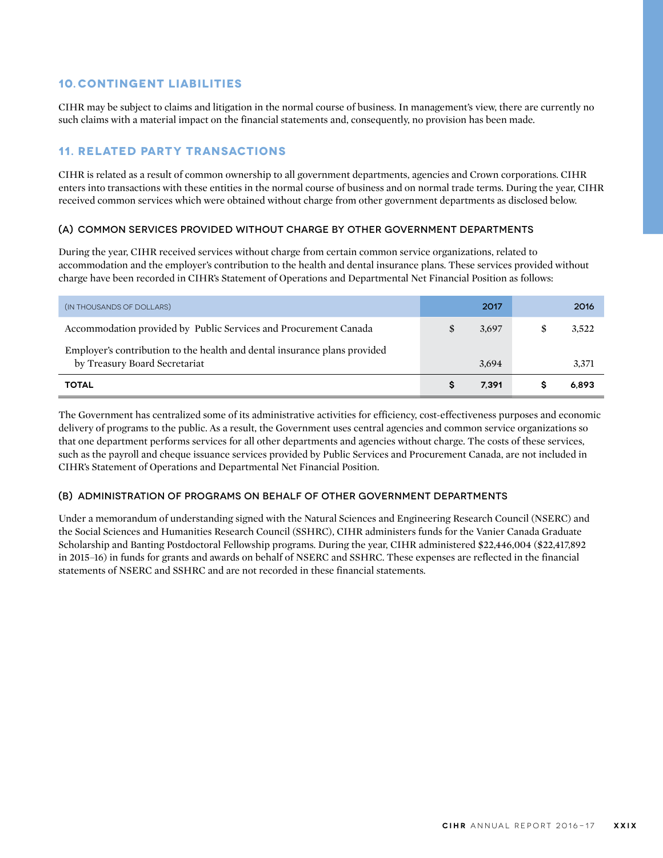## **10. Contingent Liabilities**

CIHR may be subject to claims and litigation in the normal course of business. In management's view, there are currently no such claims with a material impact on the financial statements and, consequently, no provision has been made.

## **11. Related Party Transactions**

CIHR is related as a result of common ownership to all government departments, agencies and Crown corporations. CIHR enters into transactions with these entities in the normal course of business and on normal trade terms. During the year, CIHR received common services which were obtained without charge from other government departments as disclosed below.

#### (a) Common services provided without charge by other government departments

During the year, CIHR received services without charge from certain common service organizations, related to accommodation and the employer's contribution to the health and dental insurance plans. These services provided without charge have been recorded in CIHR's Statement of Operations and Departmental Net Financial Position as follows:

| (IN THOUSANDS OF DOLLARS)                                                                                  | 2017  | 2016  |
|------------------------------------------------------------------------------------------------------------|-------|-------|
| Accommodation provided by Public Services and Procurement Canada                                           | 3,697 | 3.522 |
| Employer's contribution to the health and dental insurance plans provided<br>by Treasury Board Secretariat | 3,694 | 3.371 |
| TOTAL                                                                                                      | 7.391 | 6.893 |

The Government has centralized some of its administrative activities for efficiency, cost-effectiveness purposes and economic delivery of programs to the public. As a result, the Government uses central agencies and common service organizations so that one department performs services for all other departments and agencies without charge. The costs of these services, such as the payroll and cheque issuance services provided by Public Services and Procurement Canada, are not included in CIHR's Statement of Operations and Departmental Net Financial Position.

#### (b) Administration of programs on behalf of other government departments

Under a memorandum of understanding signed with the Natural Sciences and Engineering Research Council (NSERC) and the Social Sciences and Humanities Research Council (SSHRC), CIHR administers funds for the Vanier Canada Graduate Scholarship and Banting Postdoctoral Fellowship programs. During the year, CIHR administered \$22,446,004 (\$22,417,892 in 2015–16) in funds for grants and awards on behalf of NSERC and SSHRC. These expenses are reflected in the financial statements of NSERC and SSHRC and are not recorded in these financial statements.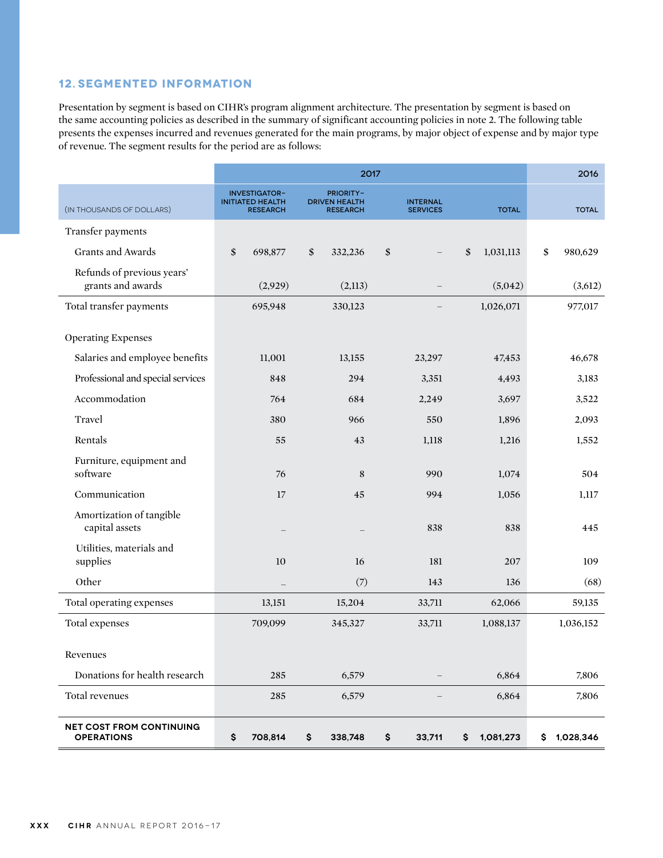## **12. Segmented Information**

Presentation by segment is based on CIHR's program alignment architecture. The presentation by segment is based on the same accounting policies as described in the summary of significant accounting policies in note 2. The following table presents the expenses incurred and revenues generated for the main programs, by major object of expense and by major type of revenue. The segment results for the period are as follows:

|                                                      |                         | 2016                                    |                                                             |                                    |                 |               |
|------------------------------------------------------|-------------------------|-----------------------------------------|-------------------------------------------------------------|------------------------------------|-----------------|---------------|
| (IN THOUSANDS OF DOLLARS)                            | <b>INITIATED HEALTH</b> | <b>INVESTIGATOR-</b><br><b>RESEARCH</b> | <b>PRIORITY-</b><br><b>DRIVEN HEALTH</b><br><b>RESEARCH</b> | <b>INTERNAL</b><br><b>SERVICES</b> | <b>TOTAL</b>    | <b>TOTAL</b>  |
| Transfer payments                                    |                         |                                         |                                                             |                                    |                 |               |
| Grants and Awards                                    | \$                      | 698,877                                 | \$<br>332,236                                               | \$                                 | \$<br>1,031,113 | \$<br>980,629 |
| Refunds of previous years'<br>grants and awards      |                         | (2,929)                                 | (2,113)                                                     |                                    | (5,042)         | (3,612)       |
| Total transfer payments                              |                         | 695,948                                 | 330,123                                                     |                                    | 1,026,071       | 977,017       |
| <b>Operating Expenses</b>                            |                         |                                         |                                                             |                                    |                 |               |
| Salaries and employee benefits                       |                         | 11,001                                  | 13,155                                                      | 23,297                             | 47,453          | 46,678        |
| Professional and special services                    |                         | 848                                     | 294                                                         | 3,351                              | 4,493           | 3,183         |
| Accommodation                                        |                         | 764                                     | 684                                                         | 2,249                              | 3,697           | 3,522         |
| Travel                                               |                         | 380                                     | 966                                                         | 550                                | 1,896           | 2,093         |
| Rentals                                              |                         | 55                                      | 43                                                          | 1,118                              | 1,216           | 1,552         |
| Furniture, equipment and<br>software                 |                         | 76                                      | 8                                                           | 990                                | 1,074           | 504           |
| Communication                                        |                         | 17                                      | 45                                                          | 994                                | 1,056           | 1,117         |
| Amortization of tangible<br>capital assets           |                         |                                         |                                                             | 838                                | 838             | 445           |
| Utilities, materials and<br>supplies                 |                         | 10                                      | 16                                                          | 181                                | 207             | 109           |
| Other                                                |                         |                                         | (7)                                                         | 143                                | 136             | (68)          |
| Total operating expenses                             |                         | 13,151                                  | 15,204                                                      | 33,711                             | 62,066          | 59,135        |
| Total expenses                                       |                         | 709,099                                 | 345,327                                                     | 33,711                             | 1,088,137       | 1,036,152     |
| Revenues                                             |                         |                                         |                                                             |                                    |                 |               |
| Donations for health research                        |                         | 285                                     | 6,579                                                       |                                    | 6,864           | 7,806         |
| Total revenues                                       |                         | 285                                     | 6,579                                                       |                                    | 6,864           | 7,806         |
| <b>NET COST FROM CONTINUING</b><br><b>OPERATIONS</b> | \$                      | 708,814                                 | \$<br>338,748                                               | \$<br>33,711                       | \$<br>1,081,273 | \$1,028,346   |